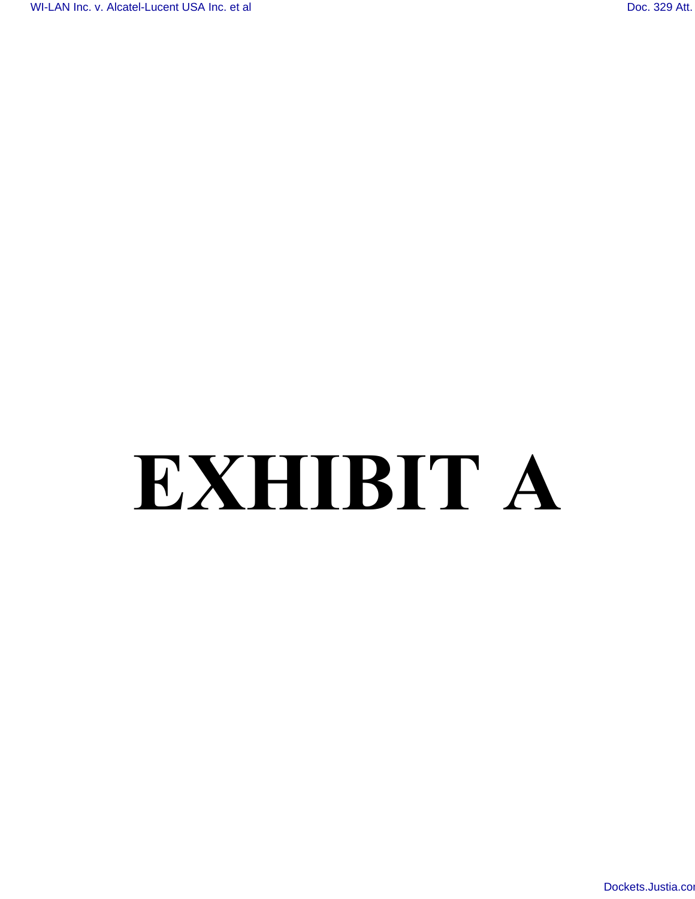# **EXHIBIT A**

[Dockets.Justia.c](http://dockets.justia.com/)om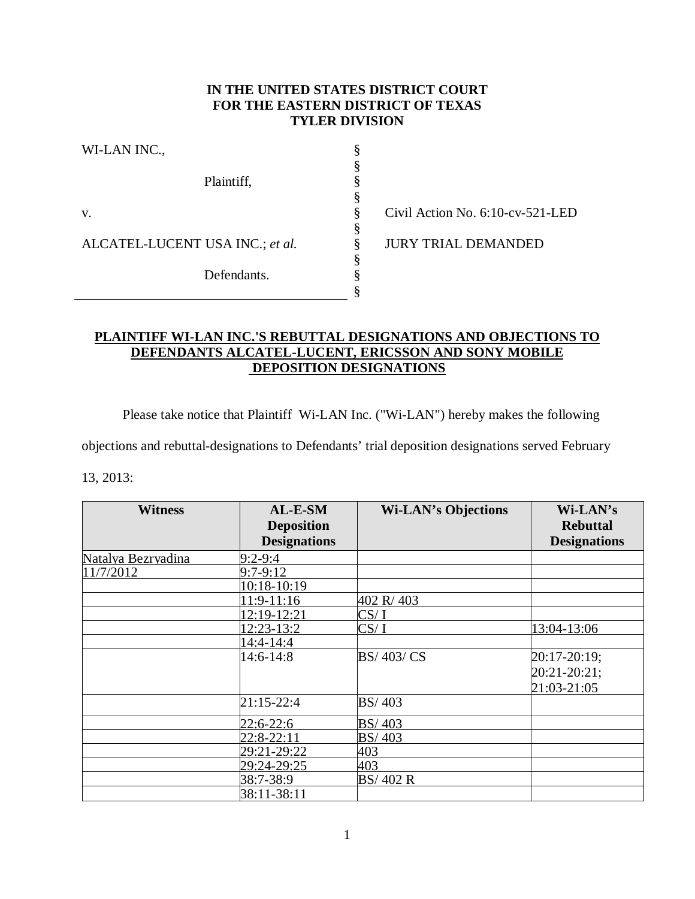# **IN THE UNITED STATES DISTRICT COURT FOR THE EASTERN DISTRICT OF TEXAS TYLER DIVISION**

§ § § § § § § § § §

| WI-LAN INC.,                    |
|---------------------------------|
| Plaintiff,                      |
| V.                              |
| ALCATEL-LUCENT USA INC.; et al. |
| Defendants.                     |
|                                 |

Civil Action No. 6:10-cv-521-LED

JURY TRIAL DEMANDED

# **PLAINTIFF WI-LAN INC.'S REBUTTAL DESIGNATIONS AND OBJECTIONS TO DEFENDANTS ALCATEL-LUCENT, ERICSSON AND SONY MOBILE DEPOSITION DESIGNATIONS**

Please take notice that Plaintiff Wi-LAN Inc. ("Wi-LAN") hereby makes the following

objections and rebuttal-designations to Defendants' trial deposition designations served February

13, 2013:

| <b>Witness</b>     | AL-E-SM             | <b>Wi-LAN's Objections</b> | Wi-LAN's            |
|--------------------|---------------------|----------------------------|---------------------|
|                    | <b>Deposition</b>   |                            | <b>Rebuttal</b>     |
|                    | <b>Designations</b> |                            | <b>Designations</b> |
| Natalya Bezryadina | $9:2 - 9:4$         |                            |                     |
| 11/7/2012          | $9:7-9:12$          |                            |                     |
|                    | 10:18-10:19         |                            |                     |
|                    | 11:9-11:16          | 402 R/403                  |                     |
|                    | 12:19-12:21         | CS/I                       |                     |
|                    | 12:23-13:2          | CS/I                       | 13:04-13:06         |
|                    | $14:4 - 14:4$       |                            |                     |
|                    | 14:6-14:8           | BS/403/CS                  | 20:17-20:19;        |
|                    |                     |                            | 20:21-20:21;        |
|                    |                     |                            | 21:03-21:05         |
|                    | 21:15-22:4          | BS/403                     |                     |
|                    | 22:6-22:6           | <b>BS/403</b>              |                     |
|                    | $22:8-22:11$        | BS/403                     |                     |
|                    | 29:21-29:22         | 403                        |                     |
|                    | 29:24-29:25         | 403                        |                     |
|                    | 38:7-38:9           | BS/402 R                   |                     |
|                    | 38:11-38:11         |                            |                     |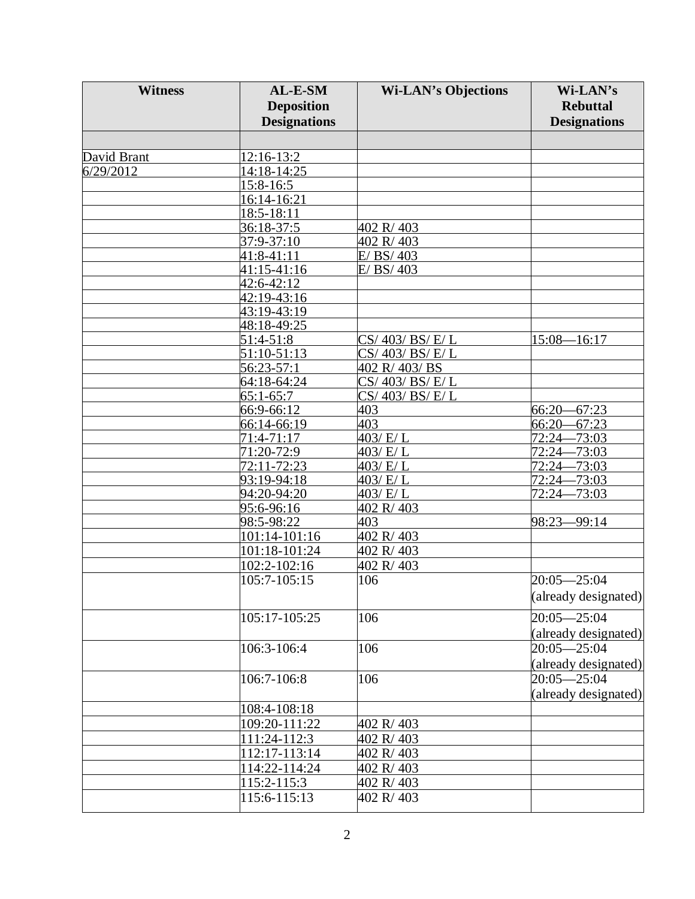| <b>Witness</b> | AL-E-SM             | <b>Wi-LAN's Objections</b> | Wi-LAN's             |
|----------------|---------------------|----------------------------|----------------------|
|                | <b>Deposition</b>   |                            | <b>Rebuttal</b>      |
|                | <b>Designations</b> |                            | <b>Designations</b>  |
|                |                     |                            |                      |
|                |                     |                            |                      |
| David Brant    | 12:16-13:2          |                            |                      |
| 6/29/2012      | 14:18-14:25         |                            |                      |
|                | 15:8-16:5           |                            |                      |
|                | 16:14-16:21         |                            |                      |
|                | $18:5 - 18:11$      |                            |                      |
|                | 36:18-37:5          | 402 R/403                  |                      |
|                | 37:9-37:10          | 402 R/403                  |                      |
|                | 41:8-41:11          | E/BS/403                   |                      |
|                | 41:15-41:16         | E/BS/403                   |                      |
|                | 42:6-42:12          |                            |                      |
|                | 42:19-43:16         |                            |                      |
|                | 43:19-43:19         |                            |                      |
|                | 48:18-49:25         |                            |                      |
|                | 51:4-51:8           | CS/ 403/ BS/ E/ L          | $15:08 - 16:17$      |
|                | 51:10-51:13         | CS/403/BS/E/L              |                      |
|                | 56:23-57:1          | 402 R/403/BS               |                      |
|                | 64:18-64:24         | CS/403/BS/E/L              |                      |
|                | $65:1-65:7$         | CS/403/BS/E/L              |                      |
|                | 66:9-66:12          | 403                        | $66:20 - 67:23$      |
|                | 66:14-66:19         | 403                        | $-67:23$<br>$66:20-$ |
|                | 71:4-71:17          | $\overline{403/E/L}$       | 72:24-73:03          |
|                | 71:20-72:9          | 403/ E/ L                  | $72:24-$<br>$-73:03$ |
|                | 72:11-72:23         | 403/E/L                    | $-73:03$<br>$72:24-$ |
|                | 93:19-94:18         | 403/ E/L                   | $72:24 - 73:03$      |
|                | 94:20-94:20         | 403/ E/ L                  | $-73:03$<br>$72:24-$ |
|                | 95:6-96:16          | 402 R/403                  |                      |
|                | 98:5-98:22          | 403                        | 98:23-99:14          |
|                | 101:14-101:16       | 402 R/403                  |                      |
|                | 101:18-101:24       | 402 R/403                  |                      |
|                | 102:2-102:16        | 402 R/403                  |                      |
|                | 105:7-105:15        | 106                        | $20:05 - 25:04$      |
|                |                     |                            | (already designated) |
|                |                     |                            |                      |
|                | 105:17-105:25       | 106                        | $20:05 - 25:04$      |
|                |                     |                            | (already designated) |
|                | 106:3-106:4         | 106                        | $20:05 - 25:04$      |
|                |                     |                            | (already designated) |
|                | 106:7-106:8         | 106                        | $20:05 - 25:04$      |
|                |                     |                            | (already designated) |
|                | 108:4-108:18        |                            |                      |
|                | 109:20-111:22       | 402 R/403                  |                      |
|                | 111:24-112:3        | 402 R/403                  |                      |
|                | 112:17-113:14       | 402 R/403                  |                      |
|                | 114:22-114:24       | 402 R/403                  |                      |
|                | 115:2-115:3         | 402 R/403                  |                      |
|                |                     | 402 R/403                  |                      |
|                | 115:6-115:13        |                            |                      |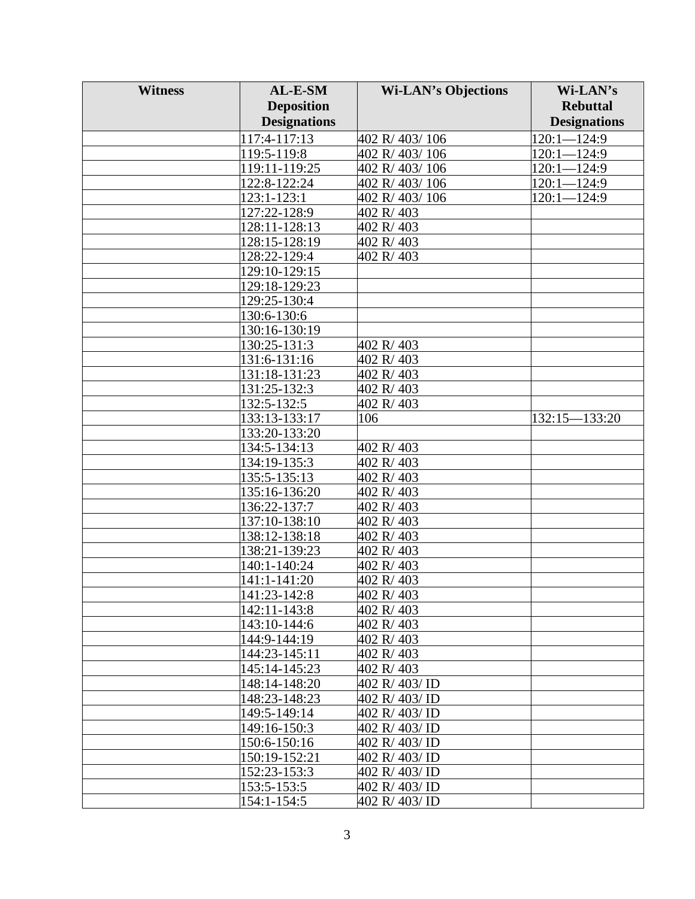| <b>Witness</b> | AL-E-SM                        | <b>Wi-LAN's Objections</b>   | Wi-LAN's            |
|----------------|--------------------------------|------------------------------|---------------------|
|                | <b>Deposition</b>              |                              | <b>Rebuttal</b>     |
|                | <b>Designations</b>            |                              | <b>Designations</b> |
|                | 117:4-117:13                   | 402 R/ 403/ 106              | $120:1 - 124:9$     |
|                | 119:5-119:8                    | 402 R/403/106                | $120:1 - 124:9$     |
|                | 119:11-119:25                  | 402 R/403/106                | $120:1 - 124:9$     |
|                | 122:8-122:24                   | 402 R/403/106                | 120:1-124:9         |
|                | 123:1-123:1                    | 402 R/403/106                | $120:1 - 124:9$     |
|                | 127:22-128:9                   | 402 R/403                    |                     |
|                | 128:11-128:13                  | 402 R/403                    |                     |
|                | 128:15-128:19                  | 402 R/403                    |                     |
|                | 128:22-129:4                   | 402 R/403                    |                     |
|                | 129:10-129:15                  |                              |                     |
|                | 129:18-129:23                  |                              |                     |
|                | 129:25-130:4                   |                              |                     |
|                | 130:6-130:6                    |                              |                     |
|                | 130:16-130:19                  |                              |                     |
|                | 130:25-131:3                   | 402 R/403                    |                     |
|                | 131:6-131:16                   | 402 R/403                    |                     |
|                | 131:18-131:23                  | 402 R/403                    |                     |
|                | 131:25-132:3                   | 402 R/403                    |                     |
|                | 132:5-132:5                    | 402 R/403                    |                     |
|                | 133:13-133:17                  | 106                          | 132:15-133:20       |
|                | 133:20-133:20                  |                              |                     |
|                | 134:5-134:13                   | 402 R/403                    |                     |
|                | 134:19-135:3                   | 402 R/403                    |                     |
|                | 135:5-135:13                   | 402 R/403                    |                     |
|                | 135:16-136:20                  | 402 R/403                    |                     |
|                | 136:22-137:7                   | 402 R/403                    |                     |
|                | 137:10-138:10                  | 402 R/403                    |                     |
|                | 138:12-138:18                  | 402 R/403                    |                     |
|                | 138:21-139:23                  | 402 R/403                    |                     |
|                | 140:1-140:24                   | 402 R/403                    |                     |
|                | 141:1-141:20                   | 402 R/403                    |                     |
|                | 141:23-142:8                   | 402 R/403                    |                     |
|                | 142:11-143:8                   | 402 R/403                    |                     |
|                | 143:10-144:6                   | 402 R/403                    |                     |
|                | 144:9-144:19                   | 402 R/403                    |                     |
|                | 144:23-145:11                  | 402 R/403                    |                     |
|                | 145:14-145:23                  | 402 R/403<br>402 R/ 403/ ID  |                     |
|                | 148:14-148:20<br>148:23-148:23 |                              |                     |
|                | 149:5-149:14                   | 402 R/403/ID<br>402 R/403/ID |                     |
|                | 149:16-150:3                   | 402 R/403/ID                 |                     |
|                | 150:6-150:16                   | 402 R/ 403/ ID               |                     |
|                | 150:19-152:21                  | 402 R/ 403/ ID               |                     |
|                | 152:23-153:3                   | 402 R/403/ID                 |                     |
|                | 153:5-153:5                    | 402 R/403/ID                 |                     |
|                | 154:1-154:5                    | 402 R/403/ID                 |                     |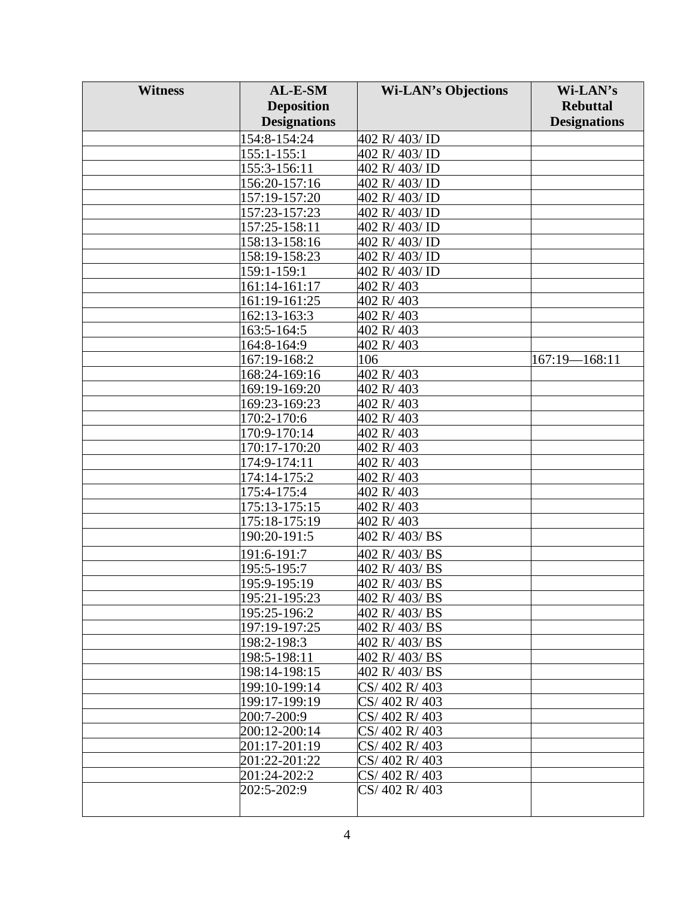| <b>Witness</b> | AL-E-SM             | <b>Wi-LAN's Objections</b> | Wi-LAN's            |
|----------------|---------------------|----------------------------|---------------------|
|                | <b>Deposition</b>   |                            | <b>Rebuttal</b>     |
|                | <b>Designations</b> |                            | <b>Designations</b> |
|                | 154:8-154:24        | 402 R/ 403/ ID             |                     |
|                | $155:1 - 155:1$     | 402 R/403/ID               |                     |
|                | 155:3-156:11        | 402 R/403/ID               |                     |
|                | 156:20-157:16       | 402 R/403/ID               |                     |
|                | 157:19-157:20       | 402 R/403/ID               |                     |
|                | 157:23-157:23       | 402 R/403/ID               |                     |
|                | 157:25-158:11       | 402 R/403/ID               |                     |
|                | 158:13-158:16       | 402 R/403/ID               |                     |
|                | 158:19-158:23       | 402 R/403/ID               |                     |
|                | 159:1-159:1         | 402 R/ 403/ ID             |                     |
|                | 161:14-161:17       | 402 R/403                  |                     |
|                | 161:19-161:25       | 402 R/403                  |                     |
|                | 162:13-163:3        | 402 R/403                  |                     |
|                | 163:5-164:5         | 402 R/403                  |                     |
|                | 164:8-164:9         | 402 R/403                  |                     |
|                | 167:19-168:2        | 106                        | 167:19—168:11       |
|                | 168:24-169:16       | 402 R/403                  |                     |
|                | 169:19-169:20       | 402 R/403                  |                     |
|                | 169:23-169:23       | 402 R/403                  |                     |
|                | 170:2-170:6         | 402 R/403                  |                     |
|                | 170:9-170:14        | 402 R/403                  |                     |
|                | 170:17-170:20       | 402 R/403                  |                     |
|                | 174:9-174:11        | 402 R/403                  |                     |
|                | 174:14-175:2        | 402 R/403                  |                     |
|                | 175:4-175:4         | 402 R/403                  |                     |
|                | 175:13-175:15       | 402 R/403                  |                     |
|                | 175:18-175:19       | 402 R/403                  |                     |
|                | 190:20-191:5        | 402 R/403/BS               |                     |
|                | 191:6-191:7         | 402 R/403/BS               |                     |
|                | 195:5-195:7         | 402 R/403/BS               |                     |
|                | 195:9-195:19        | 402 R/403/BS               |                     |
|                | 195:21-195:23       | 402 R/403/BS               |                     |
|                | 195:25-196:2        | 402 R/403/BS               |                     |
|                | 197:19-197:25       | 402 R/403/BS               |                     |
|                | 198:2-198:3         | 402 R/403/BS               |                     |
|                | 198:5-198:11        | 402 R/403/BS               |                     |
|                | 198:14-198:15       | 402 R/403/BS               |                     |
|                | 199:10-199:14       | CS/402 R/403               |                     |
|                | 199:17-199:19       | CS/402 R/403               |                     |
|                | 200:7-200:9         | CS/402 R/403               |                     |
|                | 200:12-200:14       | CS/402 R/403               |                     |
|                | 201:17-201:19       | CS/402 R/403               |                     |
|                | 201:22-201:22       | CS/402 R/403               |                     |
|                | 201:24-202:2        | CS/402 R/403               |                     |
|                | 202:5-202:9         | CS/402 R/403               |                     |
|                |                     |                            |                     |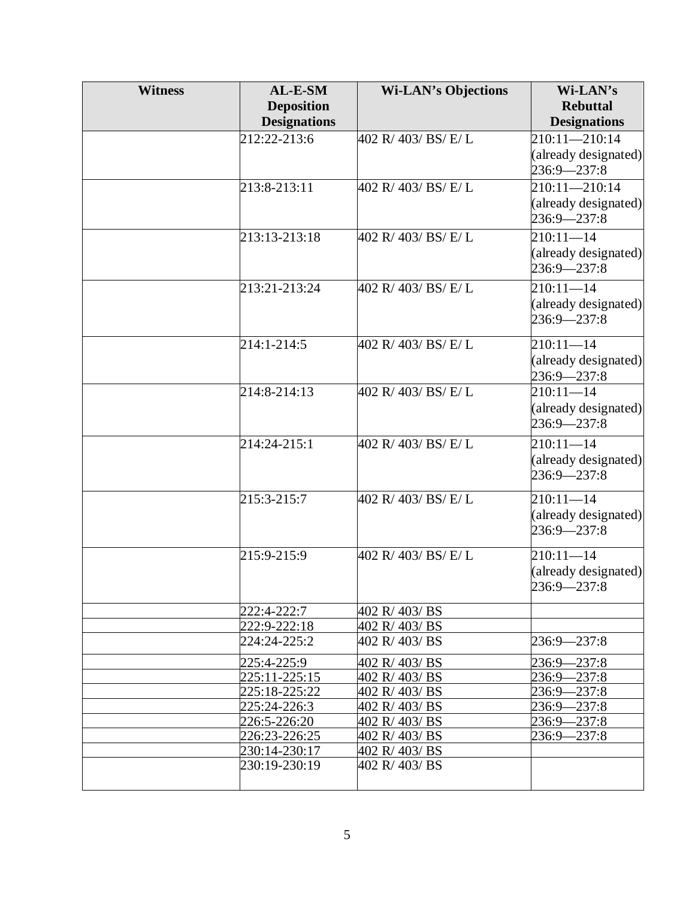| <b>Witness</b> | $AL-E-SM$                    | <b>Wi-LAN's Objections</b>     | Wi-LAN's                   |
|----------------|------------------------------|--------------------------------|----------------------------|
|                | <b>Deposition</b>            |                                | <b>Rebuttal</b>            |
|                | <b>Designations</b>          |                                | <b>Designations</b>        |
|                | 212:22-213:6                 | 402 R/ 403/ BS/ E/ L           | $210:11 - 210:14$          |
|                |                              |                                | (already designated)       |
|                |                              |                                | 236:9-237:8                |
|                | $213:8 - 213:11$             | 402 R/ 403/ BS/ E/ L           | $210:11 - 210:14$          |
|                |                              |                                | (already designated)       |
|                |                              |                                | 236:9-237:8                |
|                | 213:13-213:18                | 402 R/403/BS/E/L               | $210:11 - 14$              |
|                |                              |                                | (already designated)       |
|                |                              |                                | $236:9 - 237:8$            |
|                | 213:21-213:24                | 402 R/ 403/ BS/ E/ L           | $210:11 - 14$              |
|                |                              |                                | (already designated)       |
|                |                              |                                | $236:9 - 237:8$            |
|                |                              |                                |                            |
|                | 214:1-214:5                  | 402 R/403/BS/E/L               | $210:11 - 14$              |
|                |                              |                                | (already designated)       |
|                |                              |                                | 236:9-237:8                |
|                | 214:8-214:13                 | 402 R/ 403/ BS/ E/ L           | $210:11 - 14$              |
|                |                              |                                | (already designated)       |
|                |                              |                                | 236:9-237:8                |
|                | 214:24-215:1                 | 402 R/ 403/ BS/ E/ L           | $210:11 - 14$              |
|                |                              |                                | (already designated)       |
|                |                              |                                | $236:9 - 237:8$            |
|                |                              |                                |                            |
|                | 215:3-215:7                  | 402 R/ 403/ BS/ E/ L           | $210:11 - 14$              |
|                |                              |                                | (already designated)       |
|                |                              |                                | 236:9-237:8                |
|                | 215:9-215:9                  | 402 R/ 403/ BS/ E/ L           | $210:1\overline{1-14}$     |
|                |                              |                                | (already designated)       |
|                |                              |                                | 236:9-237:8                |
|                |                              |                                |                            |
|                | 222:4-222:7<br>222:9-222:18  | 402 R/403/BS<br>402 R/ 403/ BS |                            |
|                | 224:24-225:2                 | 402 R/403/BS                   | $236:9 - 237:8$            |
|                |                              |                                |                            |
|                | 225:4-225:9                  | 402 R/403/BS                   | 236:9—237:8                |
|                | 225:11-225:15                | 402 R/403/BS                   | 236:9—237:8                |
|                | 225:18-225:22                | 402 R/403/BS<br>402 R/403/BS   | 236:9-237:8<br>236:9-237:8 |
|                | 225:24-226:3<br>226:5-226:20 | 402 R/403/BS                   | 236:9—237:8                |
|                | 226:23-226:25                | 402 R/403/BS                   | 236:9—237:8                |
|                | 230:14-230:17                | 402 R/403/BS                   |                            |
|                | 230:19-230:19                | 402 R/403/BS                   |                            |
|                |                              |                                |                            |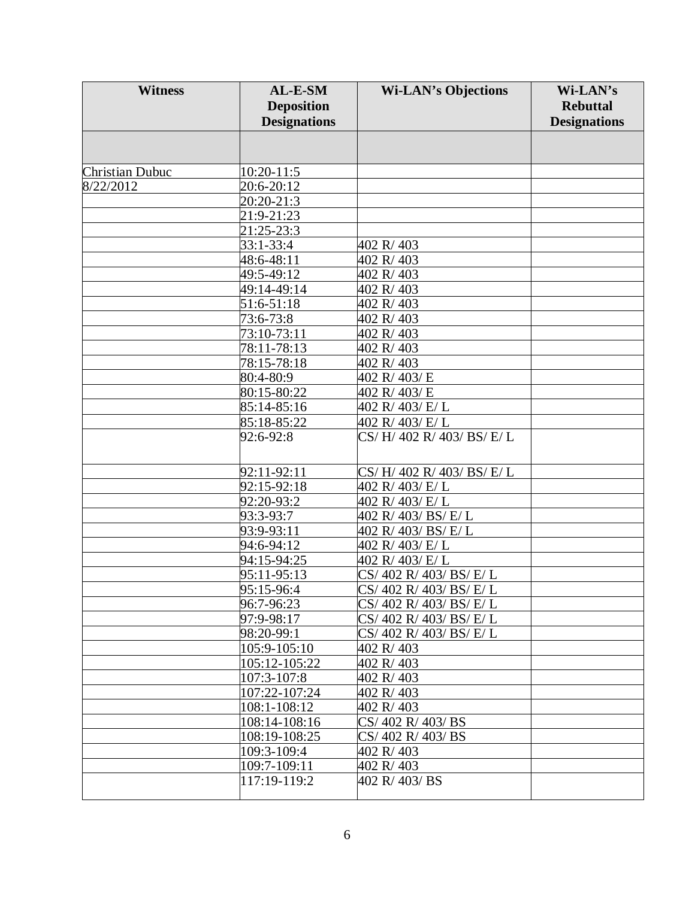| <b>Witness</b>         | AL-E-SM             | <b>Wi-LAN's Objections</b> | Wi-LAN's            |
|------------------------|---------------------|----------------------------|---------------------|
|                        | <b>Deposition</b>   |                            | <b>Rebuttal</b>     |
|                        | <b>Designations</b> |                            | <b>Designations</b> |
|                        |                     |                            |                     |
|                        |                     |                            |                     |
| <b>Christian Dubuc</b> | 10:20-11:5          |                            |                     |
| 8/22/2012              | 20:6-20:12          |                            |                     |
|                        | 20:20-21:3          |                            |                     |
|                        | 21:9-21:23          |                            |                     |
|                        | 21:25-23:3          |                            |                     |
|                        | 33:1-33:4           | 402 R/403                  |                     |
|                        | 48:6-48:11          | 402 R/403                  |                     |
|                        | 49:5-49:12          | 402 R/403                  |                     |
|                        | 49:14-49:14         | 402 R/403                  |                     |
|                        | 51:6-51:18          | 402 R/403                  |                     |
|                        | 73:6-73:8           | 402 R/403                  |                     |
|                        | 73:10-73:11         | 402 R/403                  |                     |
|                        | 78:11-78:13         | 402 R/403                  |                     |
|                        | 78:15-78:18         | 402 R/403                  |                     |
|                        | 80:4-80:9           | 402 R/403/E                |                     |
|                        | 80:15-80:22         | 402 R/403/E                |                     |
|                        | 85:14-85:16         | 402 R/403/E/L              |                     |
|                        | 85:18-85:22         | 402 R/ 403/ E/ L           |                     |
|                        | 92:6-92:8           | CS/H/402 R/403/BS/E/L      |                     |
|                        |                     |                            |                     |
|                        |                     |                            |                     |
|                        | 92:11-92:11         | CS/H/402 R/403/BS/E/L      |                     |
|                        | 92:15-92:18         | 402 R/ 403/ E/ L           |                     |
|                        | 92:20-93:2          | 402 R/ 403/ E/ L           |                     |
|                        | 93:3-93:7           | 402 R/ 403/ BS/ E/ L       |                     |
|                        | 93:9-93:11          | 402 R/ 403/ BS/ E/ L       |                     |
|                        | 94:6-94:12          | 402 R/403/E/L              |                     |
|                        | 94:15-94:25         | 402 R/ 403/ E/ L           |                     |
|                        | 95:11-95:13         | CS/402 R/403/BS/E/L        |                     |
|                        | 95:15-96:4          | CS/ 402 R/ 403/ BS/ E/ L   |                     |
|                        | 96:7-96:23          | CS/ 402 R/ 403/ BS/ E/ L   |                     |
|                        | 97:9-98:17          | CS/402 R/403/BS/E/L        |                     |
|                        | 98:20-99:1          | CS/ 402 R/ 403/ BS/ E/ L   |                     |
|                        | 105:9-105:10        | 402 R/403                  |                     |
|                        | 105:12-105:22       | 402 R/403                  |                     |
|                        | 107:3-107:8         | 402 R/403                  |                     |
|                        | 107:22-107:24       | 402 R/403                  |                     |
|                        | 108:1-108:12        | 402 R/403                  |                     |
|                        | 108:14-108:16       | CS/402 R/403/BS            |                     |
|                        | 108:19-108:25       | CS/402 R/403/BS            |                     |
|                        | 109:3-109:4         | 402 R/403                  |                     |
|                        | 109:7-109:11        | 402 R/403                  |                     |
|                        | 117:19-119:2        | 402 R/403/BS               |                     |
|                        |                     |                            |                     |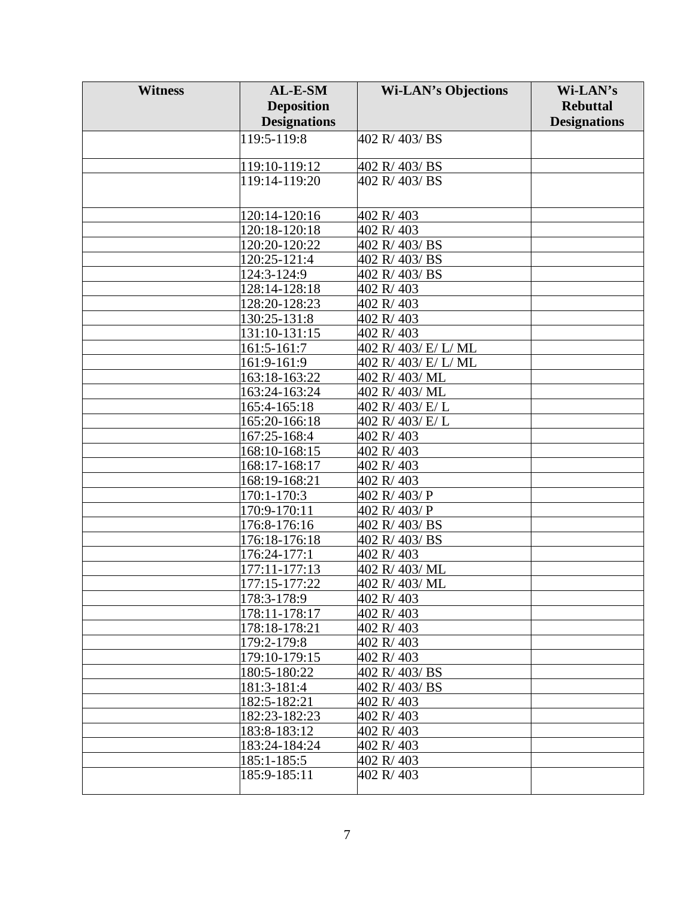| <b>Deposition</b><br><b>Rebuttal</b><br><b>Designations</b><br><b>Designations</b><br>119:5-119:8<br>402 R/403/BS<br>119:10-119:12<br>402 R/403/BS<br>119:14-119:20<br>402 R/403/BS<br>120:14-120:16<br>402 R/403<br>402 R/403<br>120:18-120:18<br>120:20-120:22<br>402 R/403/BS |
|----------------------------------------------------------------------------------------------------------------------------------------------------------------------------------------------------------------------------------------------------------------------------------|
|                                                                                                                                                                                                                                                                                  |
|                                                                                                                                                                                                                                                                                  |
|                                                                                                                                                                                                                                                                                  |
|                                                                                                                                                                                                                                                                                  |
|                                                                                                                                                                                                                                                                                  |
|                                                                                                                                                                                                                                                                                  |
|                                                                                                                                                                                                                                                                                  |
|                                                                                                                                                                                                                                                                                  |
|                                                                                                                                                                                                                                                                                  |
|                                                                                                                                                                                                                                                                                  |
| 120:25-121:4<br>402 R/403/BS                                                                                                                                                                                                                                                     |
| 124:3-124:9<br>402 R/403/BS                                                                                                                                                                                                                                                      |
| 402 R/403<br>128:14-128:18                                                                                                                                                                                                                                                       |
| 128:20-128:23<br>402 R/403                                                                                                                                                                                                                                                       |
| 130:25-131:8<br>402 R/403                                                                                                                                                                                                                                                        |
| 131:10-131:15<br>402 R/403                                                                                                                                                                                                                                                       |
| 402 R/ 403/ E/ L/ ML<br>161:5-161:7                                                                                                                                                                                                                                              |
| 161:9-161:9<br>402 R/ 403/ E/ L/ ML                                                                                                                                                                                                                                              |
| 163:18-163:22<br>402 R/403/ML                                                                                                                                                                                                                                                    |
| 163:24-163:24<br>402 R/403/ML                                                                                                                                                                                                                                                    |
| 165:4-165:18<br>402 R/403/E/L                                                                                                                                                                                                                                                    |
| 165:20-166:18<br>402 R/403/E/L                                                                                                                                                                                                                                                   |
| 167:25-168:4<br>402 R/403                                                                                                                                                                                                                                                        |
| 168:10-168:15<br>402 R/403                                                                                                                                                                                                                                                       |
| 168:17-168:17<br>402 R/403                                                                                                                                                                                                                                                       |
| 168:19-168:21<br>402 R/403                                                                                                                                                                                                                                                       |
| 170:1-170:3<br>402 R/403/P                                                                                                                                                                                                                                                       |
| 170:9-170:11<br>402 R/403/P                                                                                                                                                                                                                                                      |
| 176:8-176:16<br>402 R/403/BS                                                                                                                                                                                                                                                     |
| 176:18-176:18<br>402 R/403/BS                                                                                                                                                                                                                                                    |
| 176:24-177:1<br>402 R/403                                                                                                                                                                                                                                                        |
| 177:11-177:13<br>402 R/403/ML                                                                                                                                                                                                                                                    |
| 177:15-177:22<br>402 R/403/ML                                                                                                                                                                                                                                                    |
| 178:3-178:9<br>402 R/403                                                                                                                                                                                                                                                         |
| 178:11-178:17<br>402 R/403                                                                                                                                                                                                                                                       |
| 178:18-178:21<br>402 R/403                                                                                                                                                                                                                                                       |
| 179:2-179:8<br>402 R/403                                                                                                                                                                                                                                                         |
| 179:10-179:15<br>402 R/403                                                                                                                                                                                                                                                       |
| 180:5-180:22<br>402 R/403/BS                                                                                                                                                                                                                                                     |
| 181:3-181:4<br>402 R/403/BS                                                                                                                                                                                                                                                      |
| 182:5-182:21<br>402 R/403                                                                                                                                                                                                                                                        |
| 182:23-182:23<br>402 R/403                                                                                                                                                                                                                                                       |
| 183:8-183:12<br>402 R/403                                                                                                                                                                                                                                                        |
| 183:24-184:24<br>402 R/403                                                                                                                                                                                                                                                       |
| 185:1-185:5<br>402 R/403                                                                                                                                                                                                                                                         |
| 185:9-185:11<br>402 R/403                                                                                                                                                                                                                                                        |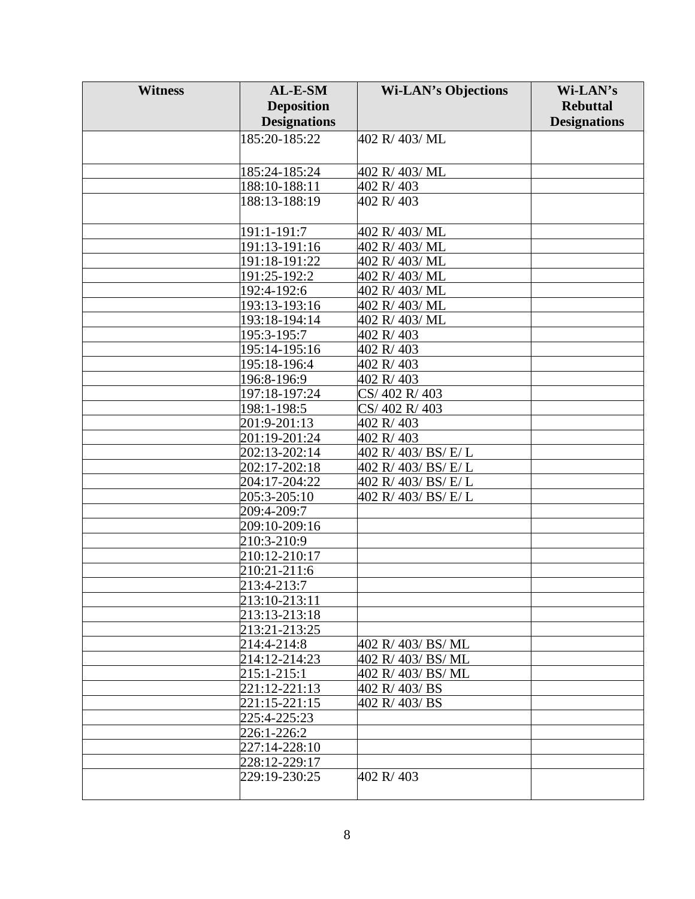| <b>Witness</b> | AL-E-SM             | <b>Wi-LAN's Objections</b> | Wi-LAN's            |
|----------------|---------------------|----------------------------|---------------------|
|                | <b>Deposition</b>   |                            | <b>Rebuttal</b>     |
|                | <b>Designations</b> |                            | <b>Designations</b> |
|                | 185:20-185:22       | 402 R/403/ML               |                     |
|                |                     |                            |                     |
|                | 185:24-185:24       | 402 R/403/ML               |                     |
|                | 188:10-188:11       | 402 R/403                  |                     |
|                | 188:13-188:19       | 402 R/403                  |                     |
|                |                     |                            |                     |
|                | 191:1-191:7         | 402 R/ 403/ ML             |                     |
|                | 191:13-191:16       | 402 R/403/ML               |                     |
|                | 191:18-191:22       | 402 R/403/ML               |                     |
|                | 191:25-192:2        | 402 R/403/ML               |                     |
|                | 192:4-192:6         | 402 R/403/ML               |                     |
|                | 193:13-193:16       | 402 R/403/ML               |                     |
|                | 193:18-194:14       | 402 R/403/ML               |                     |
|                | 195:3-195:7         | 402 R/403                  |                     |
|                | 195:14-195:16       | 402 R/403                  |                     |
|                | 195:18-196:4        | 402 R/403                  |                     |
|                | 196:8-196:9         | 402 R/403                  |                     |
|                | 197:18-197:24       | CS/402 R/403               |                     |
|                | 198:1-198:5         | CS/402 R/403               |                     |
|                | 201:9-201:13        | 402 R/403                  |                     |
|                | 201:19-201:24       | 402 R/403                  |                     |
|                | 202:13-202:14       | 402 R/ 403/ BS/ E/ L       |                     |
|                | $202:17 - 202:18$   | 402 R/ 403/ BS/ E/ L       |                     |
|                | 204:17-204:22       | 402 R/ 403/ BS/ E/ L       |                     |
|                | 205:3-205:10        | 402 R/ 403/ BS/ E/ L       |                     |
|                | 209:4-209:7         |                            |                     |
|                | 209:10-209:16       |                            |                     |
|                | 210:3-210:9         |                            |                     |
|                | 210:12-210:17       |                            |                     |
|                | 210:21-211:6        |                            |                     |
|                | 213:4-213:7         |                            |                     |
|                | 213:10-213:11       |                            |                     |
|                | 213:13-213:18       |                            |                     |
|                | 213:21-213:25       |                            |                     |
|                | 214:4-214:8         | 402 R/ 403/ BS/ ML         |                     |
|                | 214:12-214:23       | 402 R/ 403/ BS/ ML         |                     |
|                | 215:1-215:1         | 402 R/ 403/ BS/ ML         |                     |
|                | 221:12-221:13       | 402 R/403/BS               |                     |
|                | 221:15-221:15       | 402 R/403/BS               |                     |
|                | 225:4-225:23        |                            |                     |
|                | 226:1-226:2         |                            |                     |
|                | 227:14-228:10       |                            |                     |
|                | 228:12-229:17       |                            |                     |
|                | 229:19-230:25       | 402 R/403                  |                     |
|                |                     |                            |                     |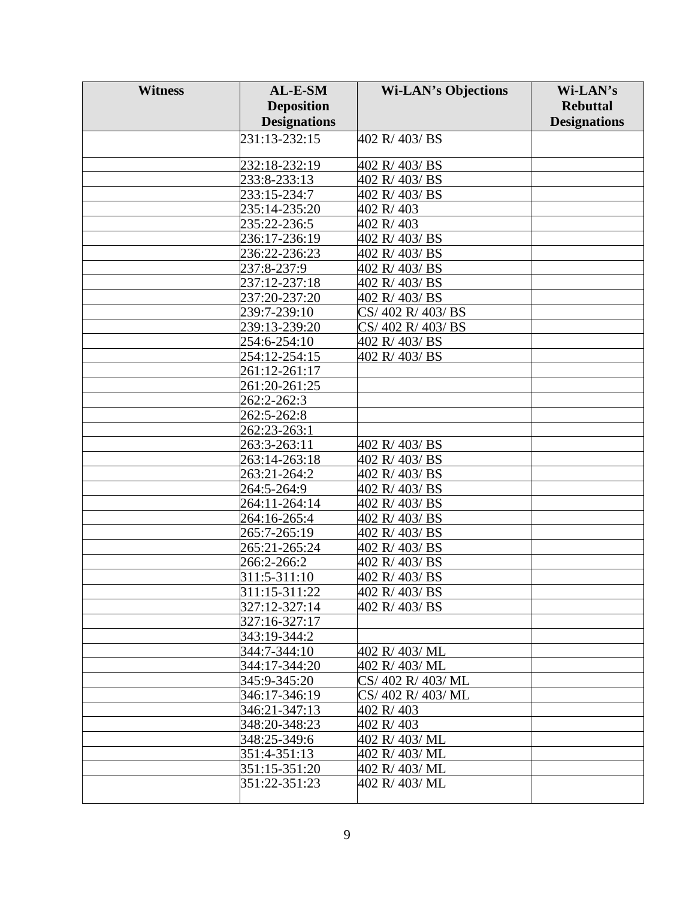| <b>Witness</b> | AL-E-SM             | <b>Wi-LAN's Objections</b> | Wi-LAN's            |
|----------------|---------------------|----------------------------|---------------------|
|                | <b>Deposition</b>   |                            | <b>Rebuttal</b>     |
|                | <b>Designations</b> |                            | <b>Designations</b> |
|                | 231:13-232:15       | 402 R/403/BS               |                     |
|                |                     |                            |                     |
|                | 232:18-232:19       | 402 R/403/BS               |                     |
|                | 233:8-233:13        | 402 R/403/BS               |                     |
|                | 233:15-234:7        | 402 R/403/BS               |                     |
|                | 235:14-235:20       | 402 R/403                  |                     |
|                | 235:22-236:5        | 402 R/403                  |                     |
|                | 236:17-236:19       | 402 R/403/BS               |                     |
|                | 236:22-236:23       | 402 R/403/BS               |                     |
|                | 237:8-237:9         | 402 R/403/BS               |                     |
|                | 237:12-237:18       | 402 R/403/BS               |                     |
|                | 237:20-237:20       | 402 R/403/BS               |                     |
|                | 239:7-239:10        | CS/402 R/403/BS            |                     |
|                | 239:13-239:20       | CS/402 R/403/BS            |                     |
|                | 254:6-254:10        | 402 R/403/BS               |                     |
|                | 254:12-254:15       | 402 R/403/BS               |                     |
|                | 261:12-261:17       |                            |                     |
|                | 261:20-261:25       |                            |                     |
|                | 262:2-262:3         |                            |                     |
|                | 262:5-262:8         |                            |                     |
|                | 262:23-263:1        |                            |                     |
|                | 263:3-263:11        | 402 R/403/BS               |                     |
|                | 263:14-263:18       | 402 R/403/BS               |                     |
|                | 263:21-264:2        | 402 R/403/BS               |                     |
|                | 264:5-264:9         | 402 R/403/BS               |                     |
|                | 264:11-264:14       | 402 R/403/BS               |                     |
|                | 264:16-265:4        | 402 R/403/BS               |                     |
|                | 265:7-265:19        | 402 R/403/BS               |                     |
|                | 265:21-265:24       | 402 R/403/BS               |                     |
|                | 266:2-266:2         | 402 R/403/BS               |                     |
|                | 311:5-311:10        | 402 R/403/BS               |                     |
|                | 311:15-311:22       | 402 R/403/BS               |                     |
|                | 327:12-327:14       | 402 R/403/BS               |                     |
|                | 327:16-327:17       |                            |                     |
|                | 343:19-344:2        |                            |                     |
|                | 344:7-344:10        | 402 R/403/ML               |                     |
|                | 344:17-344:20       | 402 R/ 403/ ML             |                     |
|                | 345:9-345:20        | CS/402 R/403/ML            |                     |
|                | 346:17-346:19       | CS/402 R/403/ML            |                     |
|                | 346:21-347:13       | 402 R/403                  |                     |
|                | 348:20-348:23       | 402 R/403                  |                     |
|                | 348:25-349:6        | 402 R/ 403/ ML             |                     |
|                | 351:4-351:13        | 402 R/403/ML               |                     |
|                | 351:15-351:20       | 402 R/ 403/ ML             |                     |
|                | 351:22-351:23       | 402 R/403/ML               |                     |
|                |                     |                            |                     |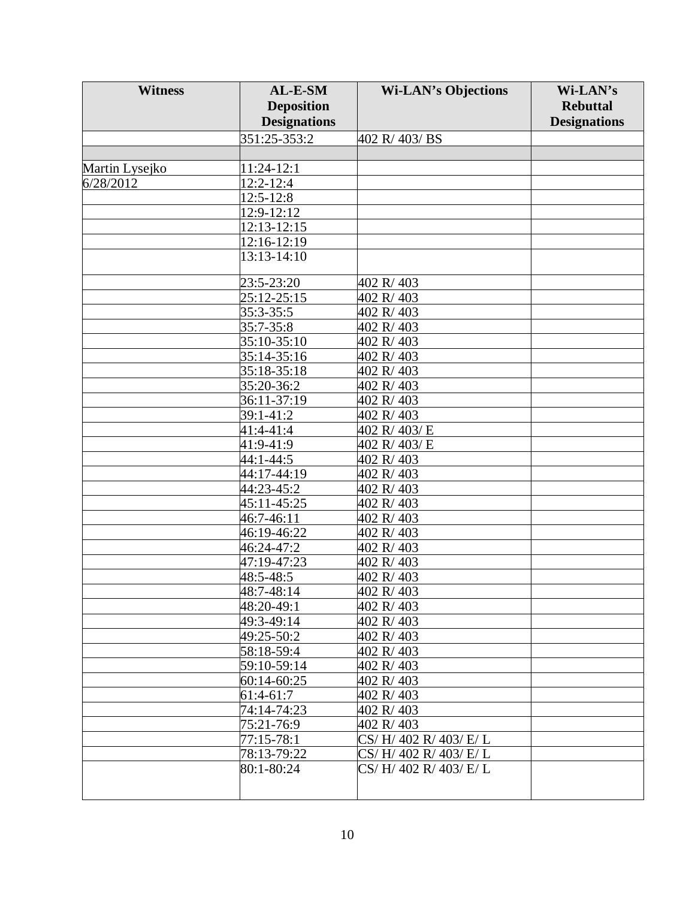| <b>Witness</b> | AL-E-SM             | <b>Wi-LAN's Objections</b> | Wi-LAN's            |
|----------------|---------------------|----------------------------|---------------------|
|                | <b>Deposition</b>   |                            | <b>Rebuttal</b>     |
|                | <b>Designations</b> |                            | <b>Designations</b> |
|                | $351:25 - 353:2$    | 402 R/403/BS               |                     |
|                |                     |                            |                     |
| Martin Lysejko | 11:24-12:1          |                            |                     |
| 6/28/2012      | 12:2-12:4           |                            |                     |
|                | 12:5-12:8           |                            |                     |
|                | 12:9-12:12          |                            |                     |
|                | 12:13-12:15         |                            |                     |
|                | 12:16-12:19         |                            |                     |
|                | 13:13-14:10         |                            |                     |
|                |                     |                            |                     |
|                | 23:5-23:20          | 402 R/403                  |                     |
|                | 25:12-25:15         | 402 R/403                  |                     |
|                | 35:3-35:5           | 402 R/403                  |                     |
|                | 35:7-35:8           | 402 R/403                  |                     |
|                | 35:10-35:10         | 402 R/403                  |                     |
|                | 35:14-35:16         | 402 R/403                  |                     |
|                | 35:18-35:18         | 402 R/403                  |                     |
|                | 35:20-36:2          | 402 R/403                  |                     |
|                | 36:11-37:19         | 402 R/403                  |                     |
|                | 39:1-41:2           | 402 R/403                  |                     |
|                | 41:4-41:4           | 402 R/403/E                |                     |
|                | 41:9-41:9           | 402 R/403/E                |                     |
|                | 44:1-44:5           | 402 R/403                  |                     |
|                | 44:17-44:19         | 402 R/403                  |                     |
|                | 44:23-45:2          | 402 R/403                  |                     |
|                | 45:11-45:25         | 402 R/403                  |                     |
|                | 46:7-46:11          | 402 R/403                  |                     |
|                | 46:19-46:22         | 402 R/403                  |                     |
|                | 46:24-47:2          | 402 R/403                  |                     |
|                | 47:19-47:23         | 402 R/403                  |                     |
|                | 48:5-48:5           | 402 R/403                  |                     |
|                | 48:7-48:14          | 402 R/403                  |                     |
|                | 48:20-49:1          | 402 R/403                  |                     |
|                | 49:3-49:14          | 402 R/403                  |                     |
|                | 49:25-50:2          | 402 R/403                  |                     |
|                | 58:18-59:4          | 402 R/403                  |                     |
|                | 59:10-59:14         | 402 R/403                  |                     |
|                | 60:14-60:25         | 402 R/403                  |                     |
|                | 61:4-61:7           | 402 R/403                  |                     |
|                | 74:14-74:23         | 402 R/403                  |                     |
|                | 75:21-76:9          | 402 R/403                  |                     |
|                | 77:15-78:1          | CS/H/402 R/403/E/L         |                     |
|                | 78:13-79:22         | CS/H/402 R/403/E/L         |                     |
|                | 80:1-80:24          | CS/H/402 R/403/E/L         |                     |
|                |                     |                            |                     |
|                |                     |                            |                     |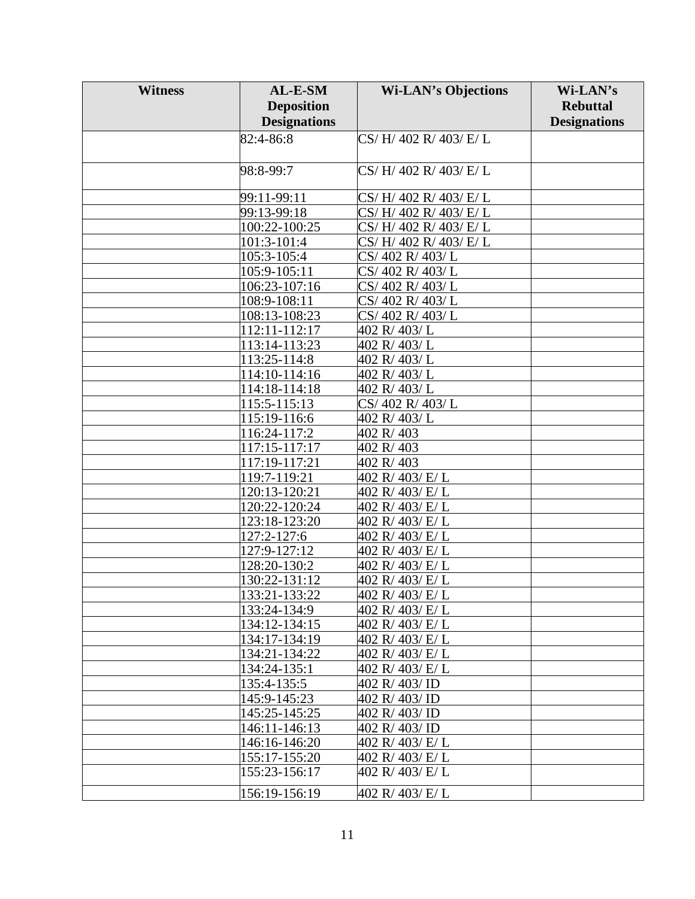| <b>Witness</b> | AL-E-SM                    | <b>Wi-LAN's Objections</b> | Wi-LAN's            |
|----------------|----------------------------|----------------------------|---------------------|
|                | <b>Deposition</b>          |                            | <b>Rebuttal</b>     |
|                | <b>Designations</b>        |                            | <b>Designations</b> |
|                | 82:4-86:8                  | CS/H/402 R/403/E/L         |                     |
|                |                            |                            |                     |
|                |                            |                            |                     |
|                | 98:8-99:7                  | CS/H/402 R/403/E/L         |                     |
|                | 99:11-99:11                | CS/H/402 R/403/E/L         |                     |
|                | 99:13-99:18                | CS/H/402 R/403/E/L         |                     |
|                | 100:22-100:25              | CS/H/402 R/403/E/L         |                     |
|                | 101:3-101:4                | CS/H/402 R/403/E/L         |                     |
|                | 105:3-105:4                | CS/402 R/403/L             |                     |
|                | 105:9-105:11               | CS/402 R/403/L             |                     |
|                | 106:23-107:16              | CS/402 R/403/L             |                     |
|                | 108:9-108:11               | CS/402 R/403/L             |                     |
|                | $\overline{108:}13-108:23$ | CS/402 R/403/L             |                     |
|                | 112:11-112:17              | 402 R/403/L                |                     |
|                | 113:14-113:23              | 402 R/403/L                |                     |
|                | 113:25-114:8               | 402 R/403/L                |                     |
|                | 114:10-114:16              | 402 R/403/L                |                     |
|                | 114:18-114:18              | 402 R/403/L                |                     |
|                | 115:5-115:13               | CS/402 R/403/L             |                     |
|                | 115:19-116:6               | 402 R/403/L                |                     |
|                | 116:24-117:2               | 402 R/403                  |                     |
|                | 117:15-117:17              | 402 R/403                  |                     |
|                | 117:19-117:21              | 402 R/403                  |                     |
|                | 119:7-119:21               | 402 R/ 403/ E/ L           |                     |
|                | 120:13-120:21              | 402 R/ 403/ E/ L           |                     |
|                | 120:22-120:24              | 402 R/ 403/ E/ L           |                     |
|                | 123:18-123:20              | 402 R/403/E/L              |                     |
|                | 127:2-127:6                | 402 R/ 403/ E/ L           |                     |
|                | 127:9-127:12               | 402 R/403/E/L              |                     |
|                | 128:20-130:2               | 402 R/403/E/L              |                     |
|                | 130:22-131:12              | 402 R/ 403/ E/ L           |                     |
|                | 133:21-133:22              | 402 R/ 403/ E/ L           |                     |
|                | 133:24-134:9               | 402 R/ 403/ E/ L           |                     |
|                | 134:12-134:15              | 402 R/ 403/ E/ L           |                     |
|                | 134:17-134:19              | 402 R/ 403/ E/ L           |                     |
|                | 134:21-134:22              | 402 R/ 403/ E/ L           |                     |
|                | 134:24-135:1               | 402 R/ 403/ E/ L           |                     |
|                | 135:4-135:5                | 402 R/403/ID               |                     |
|                | 145:9-145:23               | 402 R/403/ID               |                     |
|                | 145:25-145:25              | 402 R/403/ID               |                     |
|                | 146:11-146:13              | 402 R/403/ID               |                     |
|                | 146:16-146:20              | 402 R/ 403/ E/ L           |                     |
|                | 155:17-155:20              | 402 R/ 403/ E/ L           |                     |
|                | 155:23-156:17              | 402 R/403/E/L              |                     |
|                | 156:19-156:19              | 402 R/ 403/ E/ L           |                     |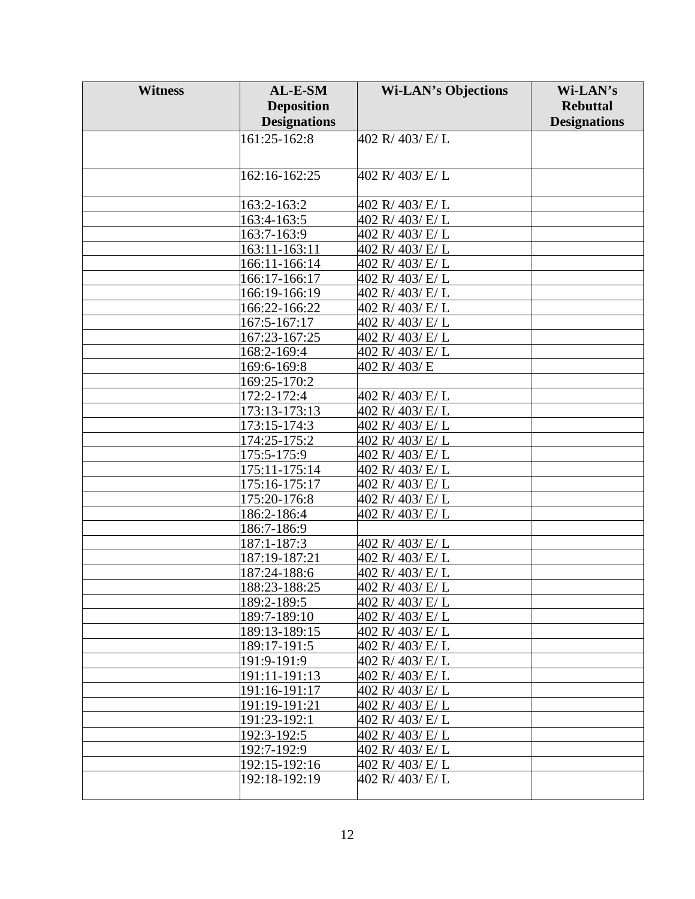| <b>Witness</b> | AL-E-SM             | <b>Wi-LAN's Objections</b> | Wi-LAN's            |
|----------------|---------------------|----------------------------|---------------------|
|                | <b>Deposition</b>   |                            | <b>Rebuttal</b>     |
|                | <b>Designations</b> |                            | <b>Designations</b> |
|                | 161:25-162:8        | 402 R/ 403/ E/ L           |                     |
|                |                     |                            |                     |
|                |                     |                            |                     |
|                | 162:16-162:25       | 402 R/403/E/L              |                     |
|                |                     |                            |                     |
|                | 163:2-163:2         | 402 R/ 403/ E/ L           |                     |
|                | 163:4-163:5         | 402 R/403/E/L              |                     |
|                | 163:7-163:9         | 402 R/ 403/ E/ L           |                     |
|                | 163:11-163:11       | 402 R/403/E/L              |                     |
|                | 166:11-166:14       | 402 R/ 403/ E/ L           |                     |
|                | 166:17-166:17       | 402 R/403/E/L              |                     |
|                | 166:19-166:19       | 402 R/403/E/L              |                     |
|                | 166:22-166:22       | 402 R/ 403/ E/ L           |                     |
|                | 167:5-167:17        | 402 R/ 403/ E/ L           |                     |
|                | 167:23-167:25       | 402 R/ 403/ E/ L           |                     |
|                | 168:2-169:4         | 402 R/403/E/L              |                     |
|                | 169:6-169:8         | 402 R/403/E                |                     |
|                | 169:25-170:2        |                            |                     |
|                | 172:2-172:4         | 402 R/403/E/L              |                     |
|                | 173:13-173:13       | 402 R/ 403/ E/ L           |                     |
|                | 173:15-174:3        | 402 R/403/E/L              |                     |
|                | 174:25-175:2        | 402 R/403/E/L              |                     |
|                | 175:5-175:9         | 402 R/403/E/L              |                     |
|                | 175:11-175:14       | 402 R/ 403/ E/ L           |                     |
|                | 175:16-175:17       | 402 R/403/E/L              |                     |
|                | 175:20-176:8        | 402 R/403/E/L              |                     |
|                | 186:2-186:4         | 402 R/ 403/ E/ L           |                     |
|                | 186:7-186:9         |                            |                     |
|                | 187:1-187:3         | 402 R/403/E/L              |                     |
|                | 187:19-187:21       | 402 R/ 403/ E/ L           |                     |
|                | 187:24-188:6        | 402 R/ 403/ E/ L           |                     |
|                | 188:23-188:25       | 402 R/ 403/ E/ L           |                     |
|                | 189:2-189:5         | 402 R/ 403/ E/ L           |                     |
|                | 189:7-189:10        | 402 R/403/E/L              |                     |
|                | 189:13-189:15       | 402 R/ 403/ E/ L           |                     |
|                | 189:17-191:5        | 402 R/403/E/L              |                     |
|                | 191:9-191:9         | 402 R/ 403/ E/ L           |                     |
|                | 191:11-191:13       | 402 R/403/E/L              |                     |
|                | 191:16-191:17       | 402 R/ 403/ E/ L           |                     |
|                | 191:19-191:21       | 402 R/403/E/L              |                     |
|                | 191:23-192:1        | 402 R/403/E/L              |                     |
|                | 192:3-192:5         | 402 R/403/E/L              |                     |
|                | 192:7-192:9         | 402 R/ 403/ E/ L           |                     |
|                | 192:15-192:16       | 402 R/403/E/L              |                     |
|                | 192:18-192:19       | 402 R/403/E/L              |                     |
|                |                     |                            |                     |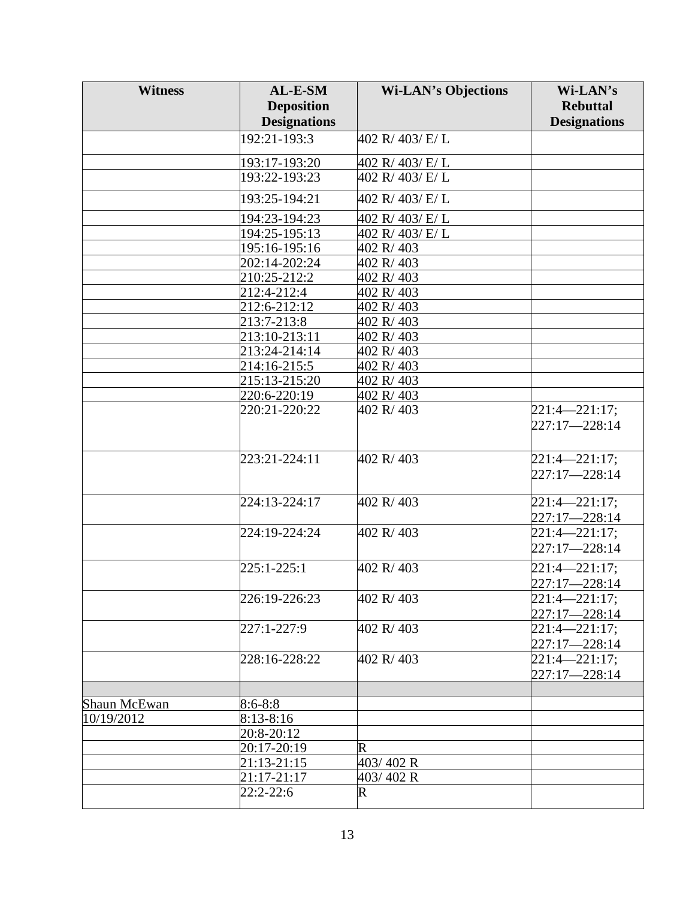| <b>Witness</b> | AL-E-SM             | <b>Wi-LAN's Objections</b> | Wi-LAN's            |
|----------------|---------------------|----------------------------|---------------------|
|                | <b>Deposition</b>   |                            | <b>Rebuttal</b>     |
|                | <b>Designations</b> |                            | <b>Designations</b> |
|                | 192:21-193:3        | 402 R/ 403/ E/ L           |                     |
|                |                     |                            |                     |
|                | 193:17-193:20       | 402 R/ 403/ E/ L           |                     |
|                | 193:22-193:23       | 402 R/403/E/L              |                     |
|                | 193:25-194:21       | 402 R/ 403/ E/ L           |                     |
|                | 194:23-194:23       | 402 R/ 403/ E/ L           |                     |
|                | 194:25-195:13       | 402 R/ 403/ E/ L           |                     |
|                | 195:16-195:16       | 402 R/403                  |                     |
|                | 202:14-202:24       | 402 R/403                  |                     |
|                | 210:25-212:2        | 402 R/403                  |                     |
|                | 212:4-212:4         | 402 R/403                  |                     |
|                | 212:6-212:12        | 402 R/403                  |                     |
|                | 213:7-213:8         | 402 R/403                  |                     |
|                | 213:10-213:11       | 402 R/403                  |                     |
|                | 213:24-214:14       | 402 R/403                  |                     |
|                | 214:16-215:5        | 402 R/403                  |                     |
|                | 215:13-215:20       | 402 R/403                  |                     |
|                | 220:6-220:19        | 402 R/403                  |                     |
|                | 220:21-220:22       | 402 R/403                  | $221:4 - 221:17$ ;  |
|                |                     |                            | 227:17-228:14       |
|                |                     |                            |                     |
|                | 223:21-224:11       | 402 R/403                  | $221:4 - 221:17;$   |
|                |                     |                            | 227:17-228:14       |
|                |                     |                            |                     |
|                | 224:13-224:17       | 402 R/403                  | $221:4 - 221:17;$   |
|                |                     |                            | 227:17-228:14       |
|                | 224:19-224:24       | 402 R/403                  | $221:4 - 221:17;$   |
|                |                     |                            | 227:17-228:14       |
|                | $225:1 - 225:1$     | 402 R/403                  | $221:4 - 221:17;$   |
|                |                     |                            | 227:17-228:14       |
|                | 226:19-226:23       | 402 R/403                  | $221:4 - 221:17;$   |
|                |                     |                            | 227:17-228:14       |
|                | 227:1-227:9         | 402 R/403                  | $221:4 - 221:17;$   |
|                |                     |                            | 227:17-228:14       |
|                | 228:16-228:22       | 402 R/403                  | $221:4 - 221:17;$   |
|                |                     |                            | 227:17-228:14       |
|                |                     |                            |                     |
| Shaun McEwan   | $8:6 - 8:8$         |                            |                     |
| 10/19/2012     | $8:13-8:16$         |                            |                     |
|                | 20:8-20:12          |                            |                     |
|                | 20:17-20:19         | $\mathbf R$                |                     |
|                | 21:13-21:15         | 403/402 R                  |                     |
|                | 21:17-21:17         | 403/402 R                  |                     |
|                | 22:2-22:6           | $\mathsf R$                |                     |
|                |                     |                            |                     |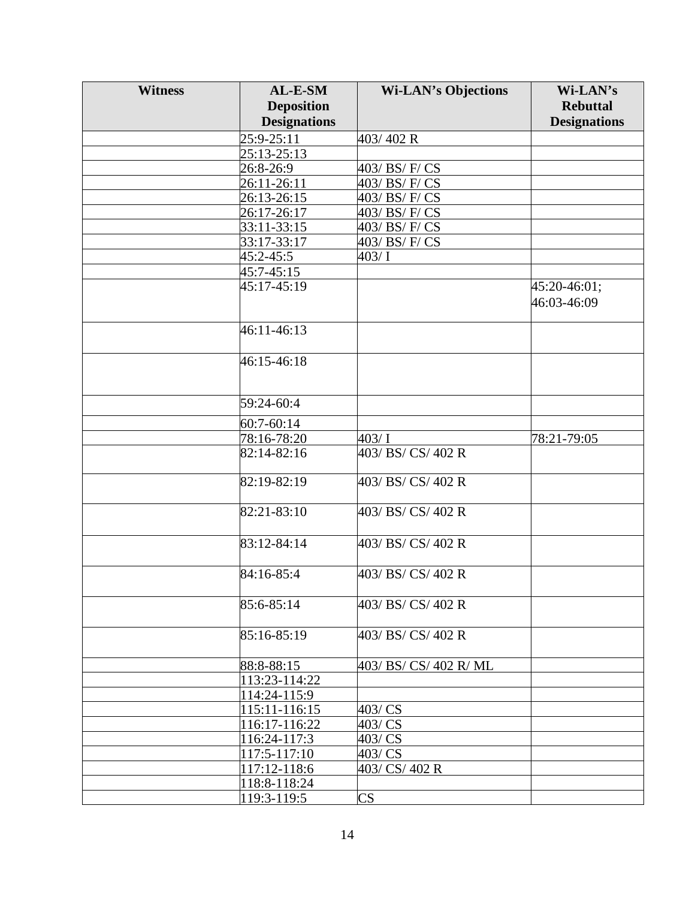| <b>Witness</b> | AL-E-SM             | <b>Wi-LAN's Objections</b> | Wi-LAN's            |
|----------------|---------------------|----------------------------|---------------------|
|                | <b>Deposition</b>   |                            | <b>Rebuttal</b>     |
|                | <b>Designations</b> |                            | <b>Designations</b> |
|                | 25:9-25:11          | 403/402 R                  |                     |
|                | 25:13-25:13         |                            |                     |
|                | 26:8-26:9           | 403/ BS/ F/ CS             |                     |
|                | 26:11-26:11         | 403/ BS/ F/ CS             |                     |
|                | 26:13-26:15         | 403/ BS/ F/ CS             |                     |
|                | 26:17-26:17         | 403/ BS/ F/ CS             |                     |
|                | 33:11-33:15         | 403/ BS/ F/ CS             |                     |
|                | 33:17-33:17         | 403/ BS/ F/ CS             |                     |
|                | 45:2-45:5           | 403/1                      |                     |
|                | 45:7-45:15          |                            |                     |
|                | 45:17-45:19         |                            | 45:20-46:01;        |
|                |                     |                            | 46:03-46:09         |
|                |                     |                            |                     |
|                | 46:11-46:13         |                            |                     |
|                |                     |                            |                     |
|                | 46:15-46:18         |                            |                     |
|                |                     |                            |                     |
|                |                     |                            |                     |
|                | 59:24-60:4          |                            |                     |
|                | 60:7-60:14          |                            |                     |
|                | 78:16-78:20         | 403/1                      | 78:21-79:05         |
|                | 82:14-82:16         | 403/ BS/ CS/ 402 R         |                     |
|                |                     |                            |                     |
|                | 82:19-82:19         | 403/ BS/ CS/ 402 R         |                     |
|                |                     |                            |                     |
|                | 82:21-83:10         | 403/ BS/ CS/ 402 R         |                     |
|                |                     |                            |                     |
|                | 83:12-84:14         | 403/ BS/ CS/ 402 R         |                     |
|                |                     |                            |                     |
|                | 84:16-85:4          | 403/ BS/ CS/ 402 R         |                     |
|                |                     |                            |                     |
|                | 85:6-85:14          | 403/ BS/ CS/ 402 R         |                     |
|                |                     |                            |                     |
|                | 85:16-85:19         | 403/ BS/ CS/ 402 R         |                     |
|                |                     |                            |                     |
|                | 88:8-88:15          | 403/ BS/ CS/ 402 R/ ML     |                     |
|                | 113:23-114:22       |                            |                     |
|                | 114:24-115:9        |                            |                     |
|                | 115:11-116:15       | 403/ CS                    |                     |
|                | 116:17-116:22       | 403/CS                     |                     |
|                | 116:24-117:3        | 403/ CS                    |                     |
|                | 117:5-117:10        | 403/CS                     |                     |
|                | 117:12-118:6        | 403/ CS/ 402 R             |                     |
|                | 118:8-118:24        |                            |                     |
|                | 119:3-119:5         | $\overline{\text{CS}}$     |                     |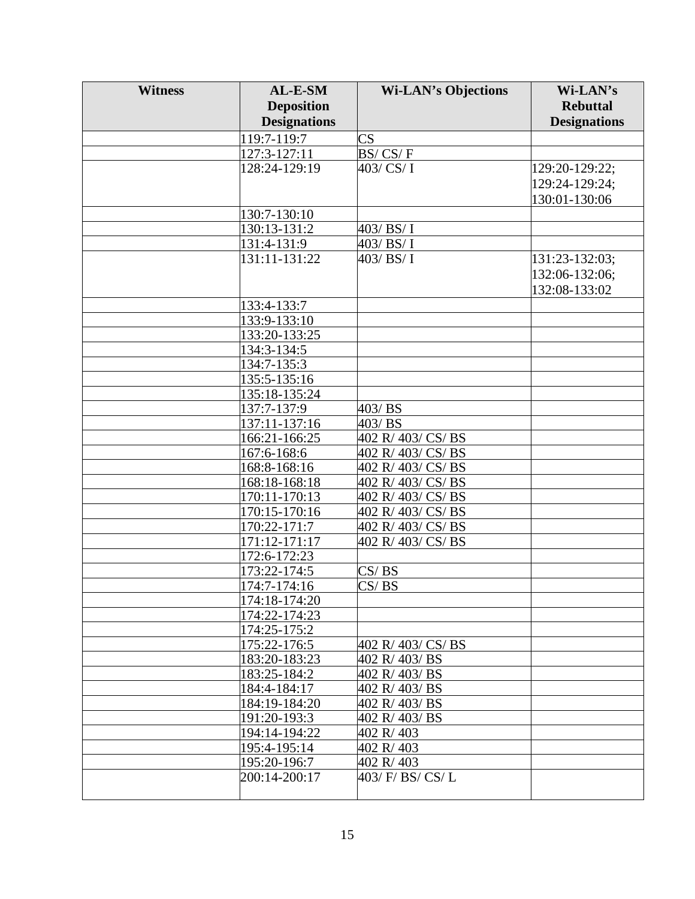| <b>Witness</b> | AL-E-SM                        | <b>Wi-LAN's Objections</b>            | Wi-LAN's            |
|----------------|--------------------------------|---------------------------------------|---------------------|
|                | <b>Deposition</b>              |                                       | <b>Rebuttal</b>     |
|                | <b>Designations</b>            |                                       | <b>Designations</b> |
|                | 119:7-119:7                    | $\overline{\text{CS}}$                |                     |
|                | 127:3-127:11                   | BS/CS/F                               |                     |
|                | 128:24-129:19                  | 403/ CS/ I                            | 129:20-129:22;      |
|                |                                |                                       | 129:24-129:24;      |
|                |                                |                                       | 130:01-130:06       |
|                | 130:7-130:10                   |                                       |                     |
|                | 130:13-131:2                   | 403/BS/I                              |                     |
|                | 131:4-131:9                    | 403/BS/I                              |                     |
|                | 131:11-131:22                  | 403/BS/I                              | 131:23-132:03;      |
|                |                                |                                       | 132:06-132:06;      |
|                |                                |                                       | 132:08-133:02       |
|                |                                |                                       |                     |
|                | 133:4-133:7                    |                                       |                     |
|                | 133:9-133:10<br>133:20-133:25  |                                       |                     |
|                |                                |                                       |                     |
|                | 134:3-134:5<br>134:7-135:3     |                                       |                     |
|                | 135:5-135:16                   |                                       |                     |
|                |                                |                                       |                     |
|                | 135:18-135:24                  |                                       |                     |
|                | 137:7-137:9<br>137:11-137:16   | 403/BS<br>403/BS                      |                     |
|                | 166:21-166:25                  | 402 R/403/CS/BS                       |                     |
|                |                                |                                       |                     |
|                | 167:6-168:6<br>168:8-168:16    | 402 R/403/CS/BS<br>402 R/ 403/ CS/ BS |                     |
|                |                                | 402 R/403/CS/BS                       |                     |
|                | 168:18-168:18<br>170:11-170:13 | 402 R/403/CS/BS                       |                     |
|                | 170:15-170:16                  | 402 R/403/CS/BS                       |                     |
|                | 170:22-171:7                   | 402 R/ 403/ CS/ BS                    |                     |
|                | 171:12-171:17                  | 402 R/403/CS/BS                       |                     |
|                | 172:6-172:23                   |                                       |                     |
|                | 173:22-174:5                   | CS/BS                                 |                     |
|                | 174:7-174:16                   | CS/BS                                 |                     |
|                | 174:18-174:20                  |                                       |                     |
|                | 174:22-174:23                  |                                       |                     |
|                | 174:25-175:2                   |                                       |                     |
|                | 175:22-176:5                   | 402 R/403/CS/BS                       |                     |
|                | 183:20-183:23                  | 402 R/403/BS                          |                     |
|                | 183:25-184:2                   | 402 R/403/BS                          |                     |
|                | 184:4-184:17                   | 402 R/403/BS                          |                     |
|                | 184:19-184:20                  | 402 R/403/BS                          |                     |
|                | 191:20-193:3                   | 402 R/403/BS                          |                     |
|                | 194:14-194:22                  | 402 R/403                             |                     |
|                | 195:4-195:14                   | 402 R/403                             |                     |
|                | 195:20-196:7                   | 402 R/403                             |                     |
|                | 200:14-200:17                  | 403/ F/ BS/ CS/ L                     |                     |
|                |                                |                                       |                     |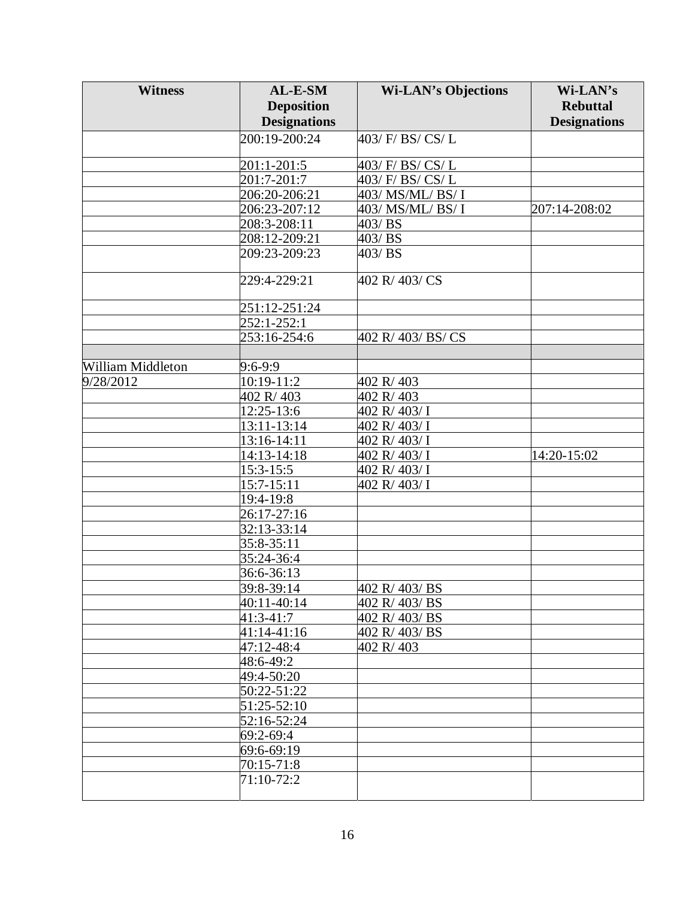| <b>Witness</b>           | AL-E-SM             | <b>Wi-LAN's Objections</b> | Wi-LAN's            |
|--------------------------|---------------------|----------------------------|---------------------|
|                          | <b>Deposition</b>   |                            | <b>Rebuttal</b>     |
|                          | <b>Designations</b> |                            | <b>Designations</b> |
|                          | 200:19-200:24       | 403/ F/ BS/ CS/ L          |                     |
|                          |                     |                            |                     |
|                          | 201:1-201:5         | 403/ F/ BS/ CS/ L          |                     |
|                          | 201:7-201:7         | 403/ F/ BS/ CS/ L          |                     |
|                          | 206:20-206:21       | 403/ MS/ML/ BS/ I          |                     |
|                          | 206:23-207:12       | 403/ MS/ML/ BS/ I          | 207:14-208:02       |
|                          | 208:3-208:11        | 403/BS                     |                     |
|                          | 208:12-209:21       | 403/BS                     |                     |
|                          | 209:23-209:23       | 403/BS                     |                     |
|                          |                     |                            |                     |
|                          | 229:4-229:21        | 402 R/403/CS               |                     |
|                          | 251:12-251:24       |                            |                     |
|                          | 252:1-252:1         |                            |                     |
|                          | 253:16-254:6        | 402 R/403/BS/CS            |                     |
|                          |                     |                            |                     |
| <b>William Middleton</b> | 9:6-9:9             |                            |                     |
| 9/28/2012                | 10:19-11:2          | 402 R/403                  |                     |
|                          | 402 R/403           | 402 R/403                  |                     |
|                          | 12:25-13:6          | 402 R/403/I                |                     |
|                          | 13:11-13:14         | 402 R/403/I                |                     |
|                          | 13:16-14:11         | 402 R/403/I                |                     |
|                          | 14:13-14:18         | 402 R/403/I                | 14:20-15:02         |
|                          | 15:3-15:5           | 402 R/403/I                |                     |
|                          | 15:7-15:11          | 402 R/403/I                |                     |
|                          | 19:4-19:8           |                            |                     |
|                          | 26:17-27:16         |                            |                     |
|                          | 32:13-33:14         |                            |                     |
|                          | 35:8-35:11          |                            |                     |
|                          | 35:24-36:4          |                            |                     |
|                          | 36:6-36:13          |                            |                     |
|                          | 39:8-39:14          | 402 R/ 403/ BS             |                     |
|                          | 40:11-40:14         | 402 R/403/BS               |                     |
|                          | 41:3-41:7           | 402 R/403/BS               |                     |
|                          | 41:14-41:16         | 402 R/403/BS               |                     |
|                          | 47:12-48:4          | 402 R/403                  |                     |
|                          | 48:6-49:2           |                            |                     |
|                          | 49:4-50:20          |                            |                     |
|                          | 50:22-51:22         |                            |                     |
|                          | 51:25-52:10         |                            |                     |
|                          | 52:16-52:24         |                            |                     |
|                          | 69:2-69:4           |                            |                     |
|                          | 69:6-69:19          |                            |                     |
|                          | 70:15-71:8          |                            |                     |
|                          | 71:10-72:2          |                            |                     |
|                          |                     |                            |                     |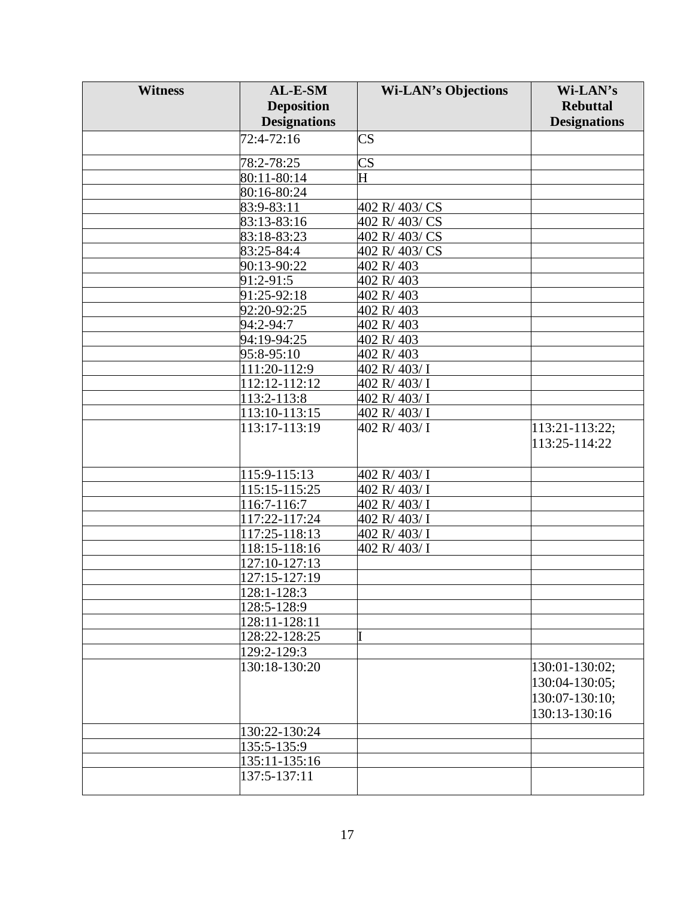| <b>Witness</b> | AL-E-SM                     | <b>Wi-LAN's Objections</b> | Wi-LAN's            |
|----------------|-----------------------------|----------------------------|---------------------|
|                | <b>Deposition</b>           |                            | <b>Rebuttal</b>     |
|                | <b>Designations</b>         |                            | <b>Designations</b> |
|                | 72:4-72:16                  | $\overline{\text{CS}}$     |                     |
|                |                             |                            |                     |
|                | 78:2-78:25                  | $\overline{\text{CS}}$     |                     |
|                | 80:11-80:14                 | H                          |                     |
|                | 80:16-80:24                 |                            |                     |
|                | 83:9-83:11                  | 402 R/403/CS               |                     |
|                | 83:13-83:16                 | 402 R/403/CS               |                     |
|                | 83:18-83:23                 | 402 R/403/CS               |                     |
|                | 83:25-84:4                  | 402 R/403/CS               |                     |
|                | 90:13-90:22                 | 402 R/403                  |                     |
|                | 91:2-91:5                   | 402 R/403                  |                     |
|                | 91:25-92:18                 | 402 R/403                  |                     |
|                | 92:20-92:25                 | 402 R/403                  |                     |
|                | 94:2-94:7                   | 402 R/403                  |                     |
|                | 94:19-94:25                 | 402 R/403                  |                     |
|                | 95:8-95:10                  | 402 R/403                  |                     |
|                | 111:20-112:9                | 402 R/403/I                |                     |
|                | $\overline{11}$ 2:12-112:12 | 402 R/403/I                |                     |
|                | 113:2-113:8                 | 402 R/403/I                |                     |
|                | 113:10-113:15               | 402 R/403/I                |                     |
|                | 113:17-113:19               | 402 R/ 403/ I              | 113:21-113:22;      |
|                |                             |                            | 113:25-114:22       |
|                |                             |                            |                     |
|                | 115:9-115:13                | 402 R/403/I                |                     |
|                | 115:15-115:25               | 402 R/403/I                |                     |
|                | 116:7-116:7                 | 402 R/403/I                |                     |
|                | 117:22-117:24               | 402 R/403/I                |                     |
|                | 117:25-118:13               | 402 R/ 403/ I              |                     |
|                | 118:15-118:16               | 402 R/403/I                |                     |
|                | 127:10-127:13               |                            |                     |
|                | 127:15-127:19               |                            |                     |
|                | $128:1 - 128:3$             |                            |                     |
|                | 128:5-128:9                 |                            |                     |
|                | 128:11-128:11               |                            |                     |
|                | 128:22-128:25               |                            |                     |
|                | 129:2-129:3                 |                            |                     |
|                | 130:18-130:20               |                            | 130:01-130:02;      |
|                |                             |                            | 130:04-130:05;      |
|                |                             |                            | 130:07-130:10;      |
|                |                             |                            | 130:13-130:16       |
|                | 130:22-130:24               |                            |                     |
|                |                             |                            |                     |
|                | 135:5-135:9                 |                            |                     |
|                | 135:11-135:16               |                            |                     |
|                | 137:5-137:11                |                            |                     |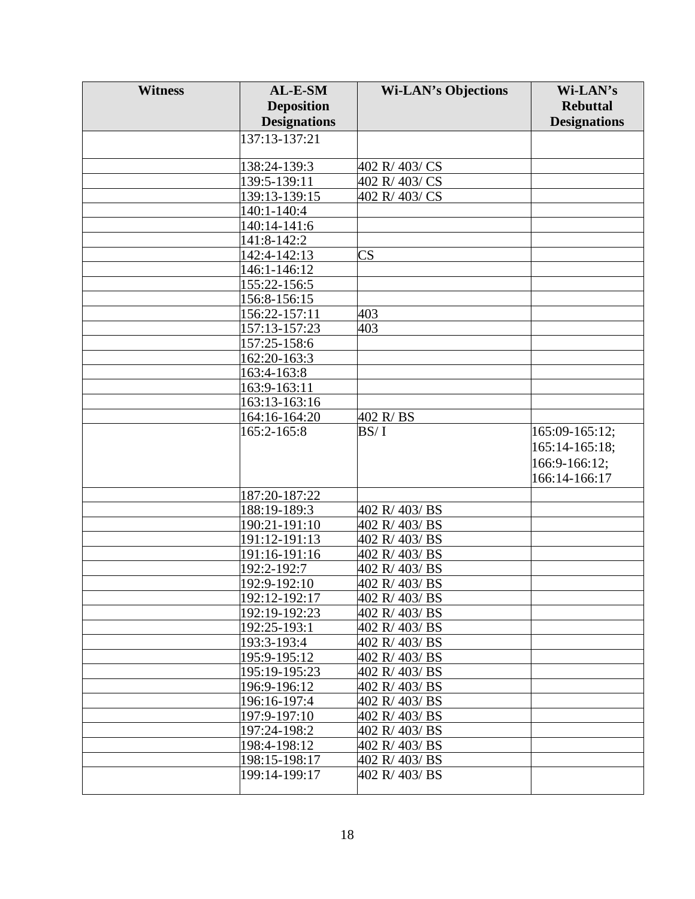| <b>Witness</b> | AL-E-SM             | <b>Wi-LAN's Objections</b>     | Wi-LAN's            |
|----------------|---------------------|--------------------------------|---------------------|
|                | <b>Deposition</b>   |                                | <b>Rebuttal</b>     |
|                | <b>Designations</b> |                                | <b>Designations</b> |
|                | 137:13-137:21       |                                |                     |
|                |                     |                                |                     |
|                | 138:24-139:3        | 402 R/403/CS                   |                     |
|                | 139:5-139:11        | 402 R/ 403/ CS                 |                     |
|                | 139:13-139:15       | 402 R/403/CS                   |                     |
|                | 140:1-140:4         |                                |                     |
|                | 140:14-141:6        |                                |                     |
|                | 141:8-142:2         |                                |                     |
|                | 142:4-142:13        | $\overline{\text{CS}}$         |                     |
|                | 146:1-146:12        |                                |                     |
|                | 155:22-156:5        |                                |                     |
|                | 156:8-156:15        |                                |                     |
|                | 156:22-157:11       | 403                            |                     |
|                | 157:13-157:23       | 403                            |                     |
|                | 157:25-158:6        |                                |                     |
|                | 162:20-163:3        |                                |                     |
|                | 163:4-163:8         |                                |                     |
|                | 163:9-163:11        |                                |                     |
|                | 163:13-163:16       |                                |                     |
|                | 164:16-164:20       | 402 R/BS                       |                     |
|                | 165:2-165:8         | BS/I                           | 165:09-165:12;      |
|                |                     |                                | 165:14-165:18;      |
|                |                     |                                | 166:9-166:12;       |
|                |                     |                                | 166:14-166:17       |
|                | 187:20-187:22       |                                |                     |
|                | 188:19-189:3        | 402 R/403/BS                   |                     |
|                | 190:21-191:10       | 402 R/403/BS                   |                     |
|                | 191:12-191:13       | 402 R/403/BS                   |                     |
|                | 191:16-191:16       | 402 R/403/BS                   |                     |
|                | 192:2-192:7         | 402 R/403/BS                   |                     |
|                | 192:9-192:10        | 402 R/403/BS                   |                     |
|                | 192:12-192:17       |                                |                     |
|                | 192:19-192:23       | 402 R/ 403/ BS<br>402 R/403/BS |                     |
|                | 192:25-193:1        | 402 R/403/BS                   |                     |
|                | 193:3-193:4         | 402 R/403/BS                   |                     |
|                | 195:9-195:12        | 402 R/403/BS                   |                     |
|                | 195:19-195:23       | 402 R/403/BS                   |                     |
|                | 196:9-196:12        | 402 R/403/BS                   |                     |
|                | 196:16-197:4        | 402 R/403/BS                   |                     |
|                | 197:9-197:10        | 402 R/403/BS                   |                     |
|                | 197:24-198:2        | 402 R/403/BS                   |                     |
|                | 198:4-198:12        | 402 R/403/BS                   |                     |
|                | 198:15-198:17       | 402 R/403/BS                   |                     |
|                | 199:14-199:17       | 402 R/403/BS                   |                     |
|                |                     |                                |                     |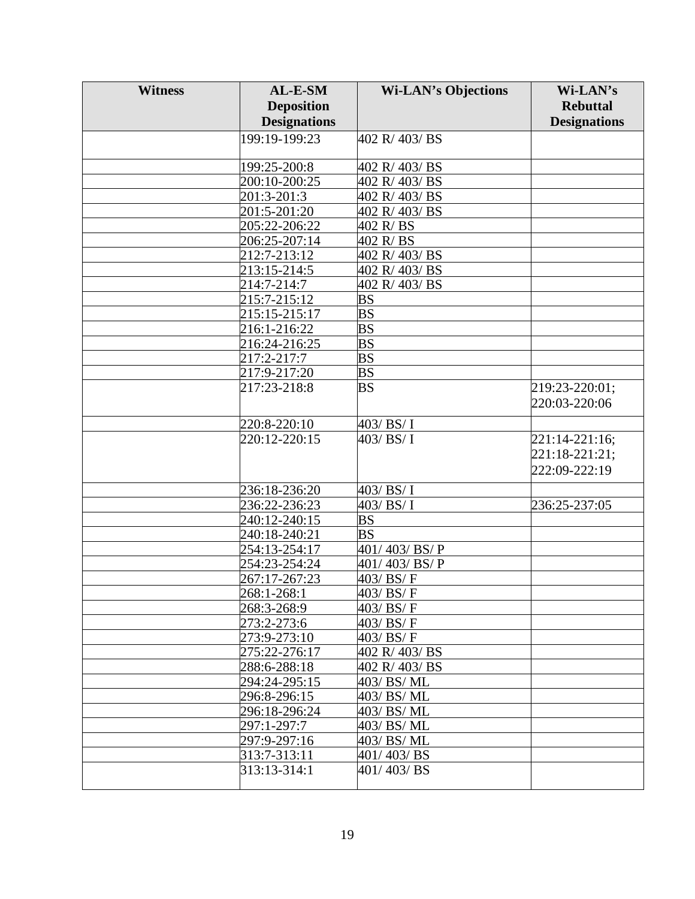| <b>Witness</b> | AL-E-SM                     | <b>Wi-LAN's Objections</b>        | Wi-LAN's            |
|----------------|-----------------------------|-----------------------------------|---------------------|
|                | <b>Deposition</b>           |                                   | <b>Rebuttal</b>     |
|                | <b>Designations</b>         |                                   | <b>Designations</b> |
|                | 199:19-199:23               | 402 R/403/BS                      |                     |
|                |                             |                                   |                     |
|                | 199:25-200:8                | 402 R/403/BS                      |                     |
|                | 200:10-200:25               | 402 R/403/BS                      |                     |
|                | 201:3-201:3                 | 402 R/403/BS                      |                     |
|                | 201:5-201:20                | 402 R/403/BS                      |                     |
|                | 205:22-206:22               | 402 R/BS                          |                     |
|                | 206:25-207:14               | 402 R/BS                          |                     |
|                | 212:7-213:12                | 402 R/403/BS                      |                     |
|                | 213:15-214:5                | 402 R/403/BS                      |                     |
|                | 214:7-214:7                 | 402 R/403/BS                      |                     |
|                | 215:7-215:12                | BS                                |                     |
|                | 215:15-215:17               | $\overline{\mathbf{B}}$           |                     |
|                | 216:1-216:22                | $\overline{\mathbf{B}}$           |                     |
|                | 216:24-216:25               | $\overline{\mathbf{B}}$           |                     |
|                | 217:2-217:7                 | $\overline{BS}$                   |                     |
|                | 217:9-217:20                | $\overline{\mathbf{B}}\mathbf{S}$ |                     |
|                | 217:23-218:8                | BS                                | 219:23-220:01;      |
|                |                             |                                   | 220:03-220:06       |
|                | 220:8-220:10                | 403/BS/I                          |                     |
|                | 220:12-220:15               | 403/BS/I                          | 221:14-221:16;      |
|                |                             |                                   | 221:18-221:21;      |
|                |                             |                                   | 222:09-222:19       |
|                |                             |                                   |                     |
|                | 236:18-236:20               | 403/BS/I                          |                     |
|                | 236:22-236:23               | 403/BS/I                          | 236:25-237:05       |
|                | 240:12-240:15               | $\overline{BS}$                   |                     |
|                | 240:18-240:21               | <b>BS</b>                         |                     |
|                | 254:13-254:17               | 401/403/BS/P                      |                     |
|                | 254:23-254:24               | 401/403/BS/P                      |                     |
|                | 267:17-267:23               | 403/BS/F                          |                     |
|                | 268:1-268:1<br>268:3-268:9  | 403/ BS/ F                        |                     |
|                |                             | 403/ BS/ F<br>403/BS/F            |                     |
|                | 273:2-273:6<br>273:9-273:10 | 403/BS/F                          |                     |
|                | 275:22-276:17               | 402 R/403/BS                      |                     |
|                | 288:6-288:18                | 402 R/403/BS                      |                     |
|                | 294:24-295:15               | 403/BS/ML                         |                     |
|                | 296:8-296:15                | 403/BS/ML                         |                     |
|                | 296:18-296:24               | 403/BS/ML                         |                     |
|                | 297:1-297:7                 | 403/BS/ML                         |                     |
|                | 297:9-297:16                | 403/BS/ML                         |                     |
|                | 313:7-313:11                | 401/403/BS                        |                     |
|                | 313:13-314:1                | 401/403/BS                        |                     |
|                |                             |                                   |                     |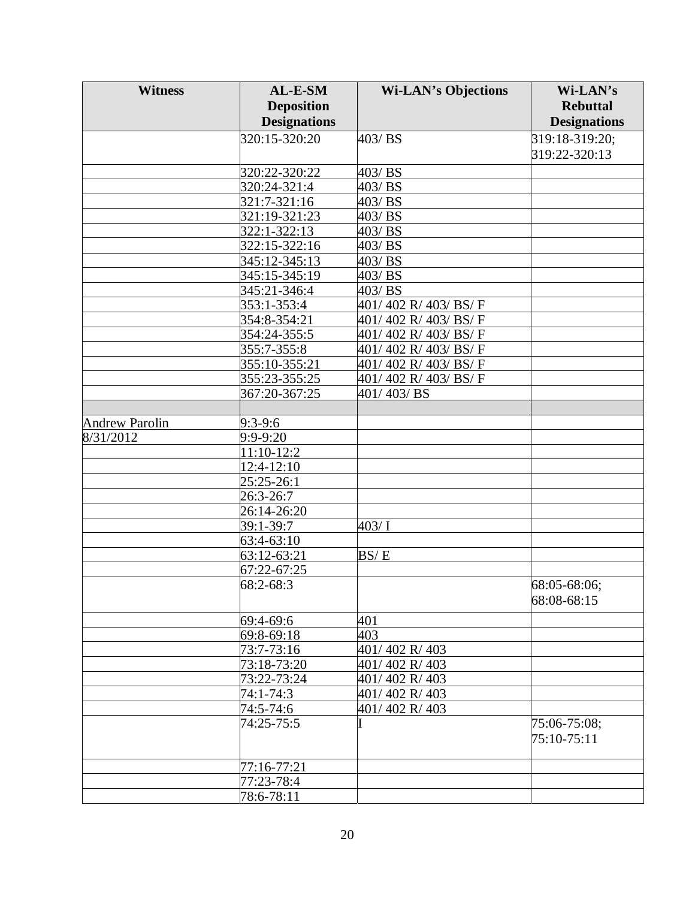| <b>Witness</b>        | AL-E-SM                       | <b>Wi-LAN's Objections</b> | Wi-LAN's            |
|-----------------------|-------------------------------|----------------------------|---------------------|
|                       | <b>Deposition</b>             |                            | <b>Rebuttal</b>     |
|                       | <b>Designations</b>           |                            | <b>Designations</b> |
|                       | 320:15-320:20                 | 403/BS                     | 319:18-319:20;      |
|                       |                               |                            | 319:22-320:13       |
|                       |                               |                            |                     |
|                       | 320:22-320:22<br>320:24-321:4 | 403/BS<br>403/BS           |                     |
|                       | 321:7-321:16                  | 403/BS                     |                     |
|                       |                               |                            |                     |
|                       | 321:19-321:23                 | 403/BS<br>403/BS           |                     |
|                       | 322:1-322:13<br>322:15-322:16 | 403/BS                     |                     |
|                       |                               |                            |                     |
|                       | 345:12-345:13                 | 403/BS                     |                     |
|                       | 345:15-345:19                 | 403/BS                     |                     |
|                       | 345:21-346:4                  | 403/BS                     |                     |
|                       | 353:1-353:4                   | 401/402 R/403/BS/F         |                     |
|                       | 354:8-354:21                  | 401/402 R/403/BS/F         |                     |
|                       | 354:24-355:5                  | 401/402 R/403/BS/F         |                     |
|                       | 355:7-355:8                   | 401/402 R/403/BS/F         |                     |
|                       | 355:10-355:21                 | 401/402 R/403/BS/F         |                     |
|                       | 355:23-355:25                 | 401/402 R/403/BS/F         |                     |
|                       | 367:20-367:25                 | 401/403/BS                 |                     |
|                       |                               |                            |                     |
| <b>Andrew Parolin</b> | 9:3-9:6                       |                            |                     |
| 8/31/2012             | 9:9-9:20                      |                            |                     |
|                       | 11:10-12:2                    |                            |                     |
|                       | 12:4-12:10                    |                            |                     |
|                       | 25:25-26:1                    |                            |                     |
|                       | 26:3-26:7                     |                            |                     |
|                       | 26:14-26:20                   |                            |                     |
|                       | 39:1-39:7                     | 403/1                      |                     |
|                       | 63:4-63:10                    |                            |                     |
|                       | 63:12-63:21                   | BS/E                       |                     |
|                       | 67:22-67:25                   |                            |                     |
|                       | 68:2-68:3                     |                            | 68:05-68:06;        |
|                       |                               |                            | 68:08-68:15         |
|                       | 69:4-69:6                     | 401                        |                     |
|                       | 69:8-69:18                    | 403                        |                     |
|                       | 73:7-73:16                    | 401/402 R/403              |                     |
|                       | 73:18-73:20                   | 401/402 R/403              |                     |
|                       | 73:22-73:24                   | 401/402 R/403              |                     |
|                       | 74:1-74:3                     | 401/402 R/403              |                     |
|                       | 74:5-74:6                     | 401/402 R/403              |                     |
|                       | 74:25-75:5                    |                            | 75:06-75:08;        |
|                       |                               |                            | 75:10-75:11         |
|                       |                               |                            |                     |
|                       | 77:16-77:21                   |                            |                     |
|                       | 77:23-78:4                    |                            |                     |
|                       | 78:6-78:11                    |                            |                     |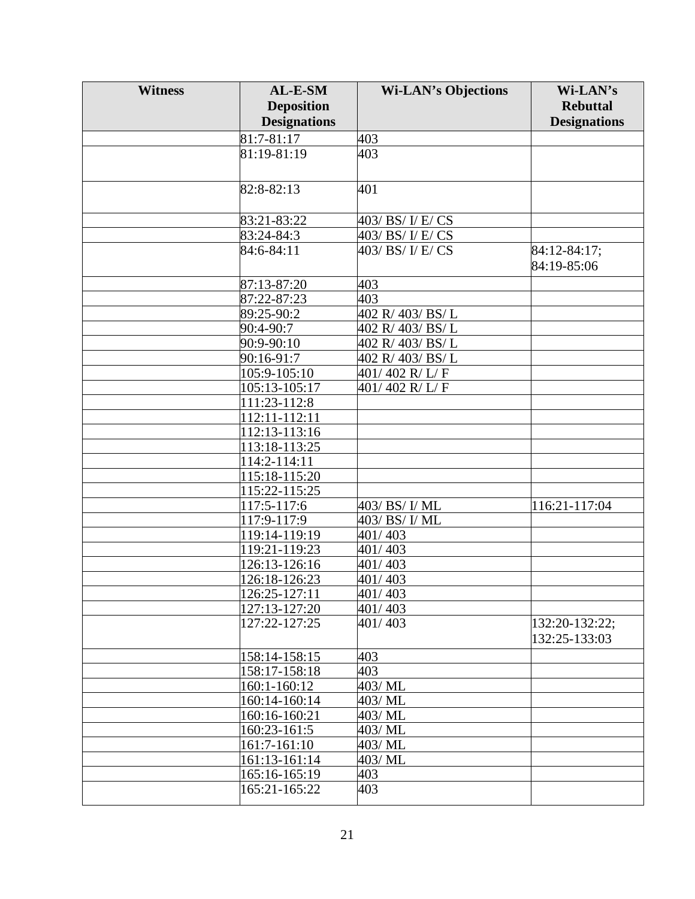| <b>Witness</b> | AL-E-SM             | <b>Wi-LAN's Objections</b> | Wi-LAN's                        |
|----------------|---------------------|----------------------------|---------------------------------|
|                | <b>Deposition</b>   |                            | <b>Rebuttal</b>                 |
|                | <b>Designations</b> |                            | <b>Designations</b>             |
|                | 81:7-81:17          | 403                        |                                 |
|                | 81:19-81:19         | 403                        |                                 |
|                |                     |                            |                                 |
|                | 82:8-82:13          | 401                        |                                 |
|                | 83:21-83:22         | 403/ BS/ I/ E/ CS          |                                 |
|                | 83:24-84:3          | 403/ BS/ I/ E/ CS          |                                 |
|                | 84:6-84:11          | 403/ BS/ I/ E/ CS          | $\sqrt{84:12-84:17}$ ;          |
|                |                     |                            | 84:19-85:06                     |
|                | 87:13-87:20         | 403                        |                                 |
|                | 87:22-87:23         | 403                        |                                 |
|                | 89:25-90:2          | 402 R/403/BS/L             |                                 |
|                | 90:4-90:7           | 402 R/ 403/ BS/L           |                                 |
|                | 90:9-90:10          | 402 R/403/BS/L             |                                 |
|                | 90:16-91:7          | 402 R/403/BS/L             |                                 |
|                | 105:9-105:10        | 401/402 R/L/F              |                                 |
|                | 105:13-105:17       | 401/402 R/L/F              |                                 |
|                | 111:23-112:8        |                            |                                 |
|                | 112:11-112:11       |                            |                                 |
|                | 112:13-113:16       |                            |                                 |
|                | 113:18-113:25       |                            |                                 |
|                | 114:2-114:11        |                            |                                 |
|                | 115:18-115:20       |                            |                                 |
|                | 115:22-115:25       |                            |                                 |
|                | 117:5-117:6         | 403/ BS/ I/ ML             | 116:21-117:04                   |
|                | 117:9-117:9         | 403/ BS/ I/ ML             |                                 |
|                | 119:14-119:19       | 401/403                    |                                 |
|                | 119:21-119:23       | 401/403                    |                                 |
|                | 126:13-126:16       | 401/403                    |                                 |
|                |                     |                            |                                 |
|                | 126:18-126:23       | 401/403                    |                                 |
|                | 126:25-127:11       | 401/403                    |                                 |
|                | 127:13-127:20       | 401/403                    |                                 |
|                | 127:22-127:25       | 401/403                    | 132:20-132:22;<br>132:25-133:03 |
|                | 158:14-158:15       | 403                        |                                 |
|                |                     |                            |                                 |
|                | 158:17-158:18       | 403<br>403/ML              |                                 |
|                | 160:1-160:12        |                            |                                 |
|                | 160:14-160:14       | 403/ML                     |                                 |
|                | 160:16-160:21       | 403/ML                     |                                 |
|                | 160:23-161:5        | 403/ML                     |                                 |
|                | 161:7-161:10        | 403/ML                     |                                 |
|                | 161:13-161:14       | 403/ML                     |                                 |
|                | 165:16-165:19       | 403                        |                                 |
|                | 165:21-165:22       | 403                        |                                 |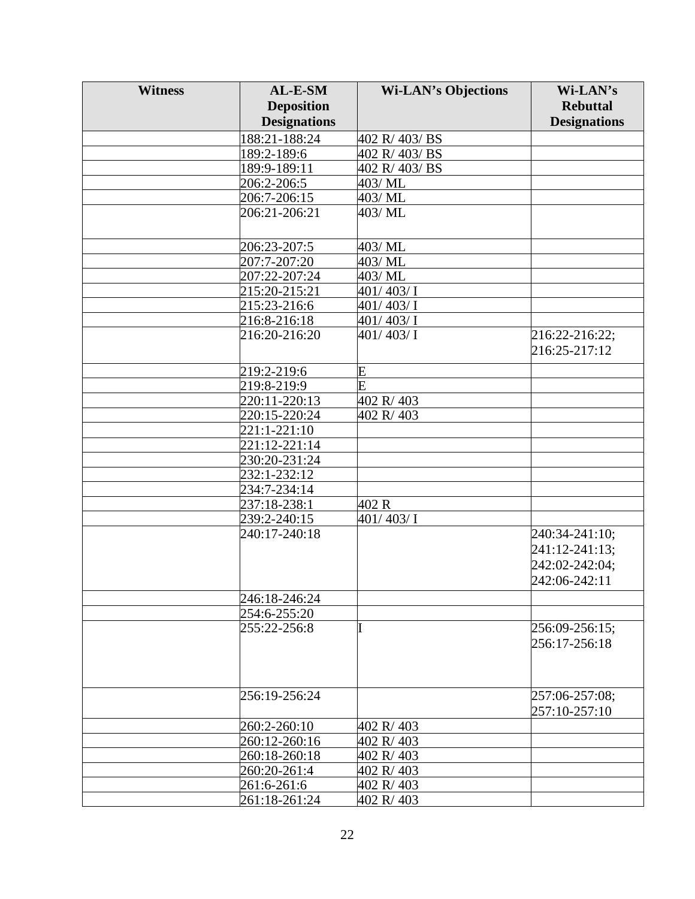| <b>Witness</b> | AL-E-SM             | <b>Wi-LAN's Objections</b> | Wi-LAN's            |
|----------------|---------------------|----------------------------|---------------------|
|                | <b>Deposition</b>   |                            | <b>Rebuttal</b>     |
|                | <b>Designations</b> |                            | <b>Designations</b> |
|                | 188:21-188:24       | 402 R/403/BS               |                     |
|                | 189:2-189:6         | 402 R/403/BS               |                     |
|                | 189:9-189:11        | 402 R/403/BS               |                     |
|                | 206:2-206:5         | 403/ML                     |                     |
|                | 206:7-206:15        | 403/ML                     |                     |
|                | 206:21-206:21       | 403/ ML                    |                     |
|                |                     |                            |                     |
|                | 206:23-207:5        | 403/ ML                    |                     |
|                | 207:7-207:20        | 403/ML                     |                     |
|                | 207:22-207:24       | 403/ML                     |                     |
|                | 215:20-215:21       | 401/403/I                  |                     |
|                | 215:23-216:6        | 401/403/I                  |                     |
|                | 216:8-216:18        | 401/403/I                  |                     |
|                | 216:20-216:20       | 401/403/I                  | 216:22-216:22;      |
|                |                     |                            | 216:25-217:12       |
|                | 219:2-219:6         | E                          |                     |
|                | 219:8-219:9         | $\overline{\mathrm{E}}$    |                     |
|                | 220:11-220:13       | 402 R/403                  |                     |
|                | 220:15-220:24       | 402 R/403                  |                     |
|                | 221:1-221:10        |                            |                     |
|                | 221:12-221:14       |                            |                     |
|                | 230:20-231:24       |                            |                     |
|                | 232:1-232:12        |                            |                     |
|                | 234:7-234:14        |                            |                     |
|                | 237:18-238:1        | 402 R                      |                     |
|                | 239:2-240:15        | 401/403/I                  |                     |
|                | 240:17-240:18       |                            | 240:34-241:10;      |
|                |                     |                            | 241:12-241:13;      |
|                |                     |                            | 242:02-242:04;      |
|                |                     |                            | 242:06-242:11       |
|                | 246:18-246:24       |                            |                     |
|                | 254:6-255:20        |                            |                     |
|                | 255:22-256:8        |                            | 256:09-256:15;      |
|                |                     |                            | 256:17-256:18       |
|                |                     |                            |                     |
|                |                     |                            |                     |
|                | 256:19-256:24       |                            | 257:06-257:08;      |
|                |                     |                            | 257:10-257:10       |
|                | 260:2-260:10        | 402 R/403                  |                     |
|                | 260:12-260:16       | 402 R/403                  |                     |
|                | 260:18-260:18       | 402 R/403                  |                     |
|                | 260:20-261:4        | 402 R/403                  |                     |
|                | 261:6-261:6         | 402 R/403                  |                     |
|                | 261:18-261:24       | 402 R/403                  |                     |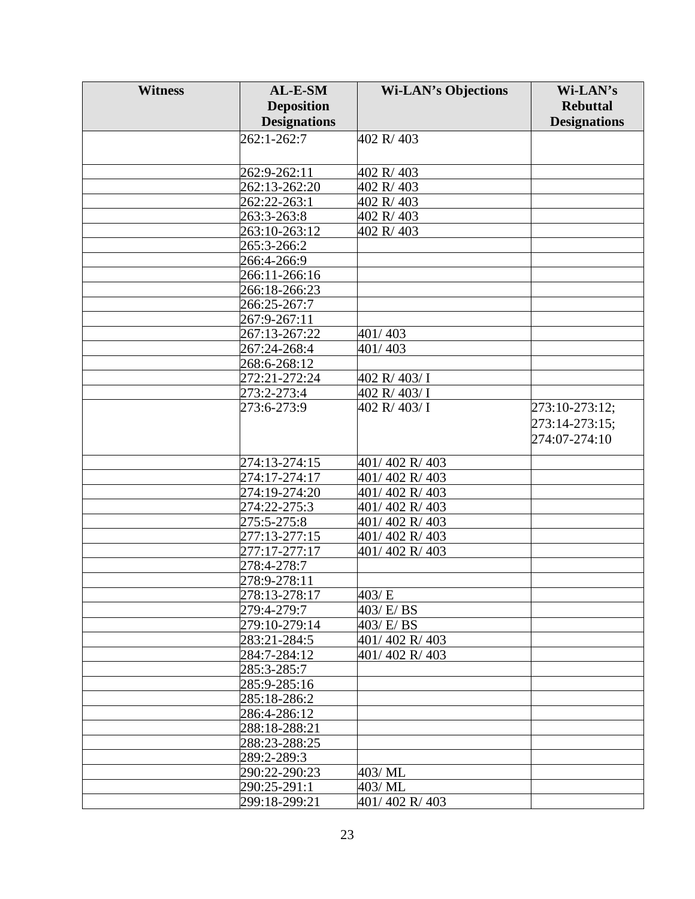| <b>Witness</b> | AL-E-SM                       | <b>Wi-LAN's Objections</b> | Wi-LAN's            |
|----------------|-------------------------------|----------------------------|---------------------|
|                | <b>Deposition</b>             |                            | <b>Rebuttal</b>     |
|                | <b>Designations</b>           |                            | <b>Designations</b> |
|                | 262:1-262:7                   | 402 R/403                  |                     |
|                |                               |                            |                     |
|                |                               |                            |                     |
|                | 262:9-262:11<br>262:13-262:20 | 402 R/403<br>402 R/403     |                     |
|                | 262:22-263:1                  | 402 R/403                  |                     |
|                | 263:3-263:8                   | 402 R/403                  |                     |
|                | 263:10-263:12                 | 402 R/403                  |                     |
|                | 265:3-266:2                   |                            |                     |
|                | 266:4-266:9                   |                            |                     |
|                | 266:11-266:16                 |                            |                     |
|                | 266:18-266:23                 |                            |                     |
|                | 266:25-267:7                  |                            |                     |
|                | 267:9-267:11                  |                            |                     |
|                | 267:13-267:22                 | 401/403                    |                     |
|                | 267:24-268:4                  | 401/403                    |                     |
|                | 268:6-268:12                  |                            |                     |
|                | 272:21-272:24                 | 402 R/ 403/ I              |                     |
|                | 273:2-273:4                   | 402 R/ 403/ I              |                     |
|                | 273:6-273:9                   | 402 R/ 403/ I              | 273:10-273:12;      |
|                |                               |                            | 273:14-273:15;      |
|                |                               |                            | 274:07-274:10       |
|                |                               |                            |                     |
|                | 274:13-274:15                 | 401/402 R/403              |                     |
|                | 274:17-274:17                 | 401/402 R/403              |                     |
|                | 274:19-274:20                 | 401/402 R/403              |                     |
|                | 274:22-275:3                  | 401/402 R/403              |                     |
|                | 275:5-275:8                   | 401/402 R/403              |                     |
|                | 277:13-277:15                 | 401/402 R/403              |                     |
|                | 277:17-277:17                 | 401/402 R/403              |                     |
|                | 278:4-278:7                   |                            |                     |
|                | 278:9-278:11                  |                            |                     |
|                | 278:13-278:17                 | 403/E                      |                     |
|                | 279:4-279:7                   | 403/E/BS                   |                     |
|                | 279:10-279:14                 | 403/ E/ BS                 |                     |
|                | 283:21-284:5                  | 401/402 R/403              |                     |
|                | 284:7-284:12                  | 401/402 R/403              |                     |
|                | 285:3-285:7                   |                            |                     |
|                | 285:9-285:16                  |                            |                     |
|                | 285:18-286:2                  |                            |                     |
|                | 286:4-286:12                  |                            |                     |
|                | 288:18-288:21                 |                            |                     |
|                | 288:23-288:25                 |                            |                     |
|                | 289:2-289:3                   |                            |                     |
|                | 290:22-290:23                 | 403/ML                     |                     |
|                | 290:25-291:1                  | 403/ ML                    |                     |
|                | 299:18-299:21                 | 401/402 R/403              |                     |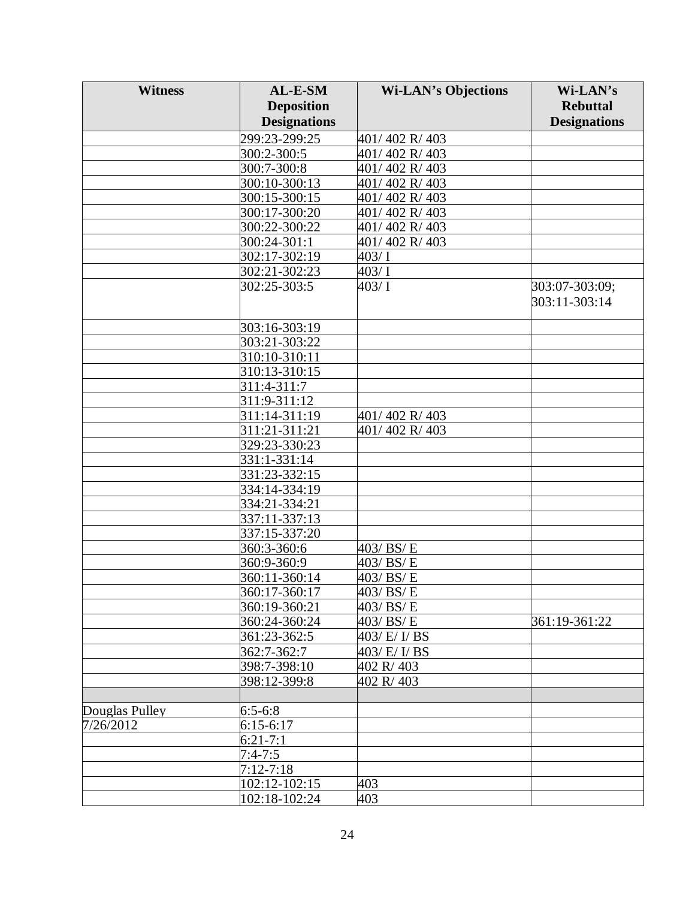| <b>Witness</b> | AL-E-SM             | <b>Wi-LAN's Objections</b> | Wi-LAN's            |
|----------------|---------------------|----------------------------|---------------------|
|                | <b>Deposition</b>   |                            | <b>Rebuttal</b>     |
|                | <b>Designations</b> |                            | <b>Designations</b> |
|                | 299:23-299:25       | 401/402 R/403              |                     |
|                | 300:2-300:5         | 401/402 R/403              |                     |
|                | 300:7-300:8         | 401/402 R/403              |                     |
|                | 300:10-300:13       | 401/402 R/403              |                     |
|                | 300:15-300:15       | 401/402 R/403              |                     |
|                | 300:17-300:20       | 401/402 R/403              |                     |
|                | 300:22-300:22       | 401/402 R/403              |                     |
|                | 300:24-301:1        | 401/402 R/403              |                     |
|                | 302:17-302:19       | 403/1                      |                     |
|                | 302:21-302:23       | 403/1                      |                     |
|                | 302:25-303:5        | 403/1                      | 303:07-303:09;      |
|                |                     |                            | 303:11-303:14       |
|                |                     |                            |                     |
|                | 303:16-303:19       |                            |                     |
|                | 303:21-303:22       |                            |                     |
|                | 310:10-310:11       |                            |                     |
|                | 310:13-310:15       |                            |                     |
|                | 311:4-311:7         |                            |                     |
|                | 311:9-311:12        |                            |                     |
|                | 311:14-311:19       | 401/402 R/403              |                     |
|                | 311:21-311:21       | 401/402 R/403              |                     |
|                | 329:23-330:23       |                            |                     |
|                | 331:1-331:14        |                            |                     |
|                | 331:23-332:15       |                            |                     |
|                | 334:14-334:19       |                            |                     |
|                | 334:21-334:21       |                            |                     |
|                | 337:11-337:13       |                            |                     |
|                | 337:15-337:20       |                            |                     |
|                | 360:3-360:6         | 403/BS/E                   |                     |
|                | 360:9-360:9         | $\overline{403}$ / BS/E    |                     |
|                | 360:11-360:14       | 403/BS/E                   |                     |
|                | 360:17-360:17       | 403/BS/E                   |                     |
|                | 360:19-360:21       | 403/BS/E                   |                     |
|                | 360:24-360:24       | 403/BS/E                   | 361:19-361:22       |
|                | 361:23-362:5        | 403/ E/ I/ BS              |                     |
|                | 362:7-362:7         | 403/ E/ I/ BS              |                     |
|                | 398:7-398:10        | 402 R/403                  |                     |
|                | 398:12-399:8        | 402 R/403                  |                     |
|                |                     |                            |                     |
| Douglas Pulley | $6:5-6:8$           |                            |                     |
| 7/26/2012      | $6:15-6:17$         |                            |                     |
|                | $6:21 - 7:1$        |                            |                     |
|                | $7:4 - 7:5$         |                            |                     |
|                | $7:12 - 7:18$       |                            |                     |
|                | 102:12-102:15       | 403                        |                     |
|                | 102:18-102:24       | 403                        |                     |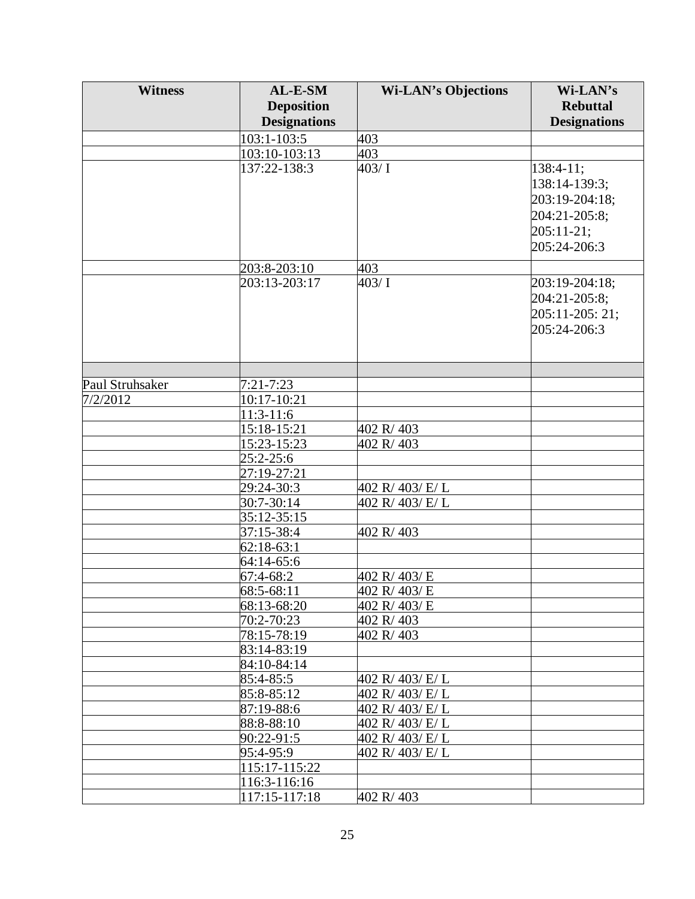| <b>Witness</b>  | AL-E-SM             | <b>Wi-LAN's Objections</b>   | Wi-LAN's            |
|-----------------|---------------------|------------------------------|---------------------|
|                 | <b>Deposition</b>   |                              | <b>Rebuttal</b>     |
|                 | <b>Designations</b> |                              | <b>Designations</b> |
|                 | 103:1-103:5         | 403                          |                     |
|                 | 103:10-103:13       | 403                          |                     |
|                 | 137:22-138:3        | 403/ $\overline{\mathrm{I}}$ | $138:4-11;$         |
|                 |                     |                              | 138:14-139:3;       |
|                 |                     |                              | 203:19-204:18;      |
|                 |                     |                              |                     |
|                 |                     |                              | 204:21-205:8;       |
|                 |                     |                              | $205:11-21;$        |
|                 |                     |                              | 205:24-206:3        |
|                 | 203:8-203:10        | 403                          |                     |
|                 | 203:13-203:17       | 403/1                        | 203:19-204:18;      |
|                 |                     |                              | 204:21-205:8;       |
|                 |                     |                              | 205:11-205: 21;     |
|                 |                     |                              | 205:24-206:3        |
|                 |                     |                              |                     |
|                 |                     |                              |                     |
|                 |                     |                              |                     |
| Paul Struhsaker | $7:21 - 7:23$       |                              |                     |
| 7/2/2012        | 10:17-10:21         |                              |                     |
|                 | 11:3-11:6           |                              |                     |
|                 | 15:18-15:21         | 402 R/403                    |                     |
|                 | 15:23-15:23         | 402 R/403                    |                     |
|                 | 25:2-25:6           |                              |                     |
|                 | 27:19-27:21         |                              |                     |
|                 | 29:24-30:3          | 402 R/ 403/ E/ L             |                     |
|                 | 30:7-30:14          | 402 R/ 403/ E/ L             |                     |
|                 | 35:12-35:15         |                              |                     |
|                 | 37:15-38:4          | 402 R/403                    |                     |
|                 | $62:18-63:1$        |                              |                     |
|                 | 64:14-65:6          |                              |                     |
|                 | 67:4-68:2           | 402 R/403/E                  |                     |
|                 | 68:5-68:11          | 402 R/403/E                  |                     |
|                 | 68:13-68:20         | 402 R/403/E                  |                     |
|                 | 70:2-70:23          | 402 R/403                    |                     |
|                 | 78:15-78:19         | 402 R/403                    |                     |
|                 | 83:14-83:19         |                              |                     |
|                 | 84:10-84:14         |                              |                     |
|                 | 85:4-85:5           | 402 R/403/E/L                |                     |
|                 | 85:8-85:12          | 402 R/403/E/L                |                     |
|                 | 87:19-88:6          | 402 R/403/E/L                |                     |
|                 | 88:8-88:10          | 402 R/403/E/L                |                     |
|                 | 90:22-91:5          | 402 R/403/E/L                |                     |
|                 | 95:4-95:9           | 402 R/403/E/L                |                     |
|                 | 115:17-115:22       |                              |                     |
|                 | 116:3-116:16        |                              |                     |
|                 | 117:15-117:18       | 402 R/403                    |                     |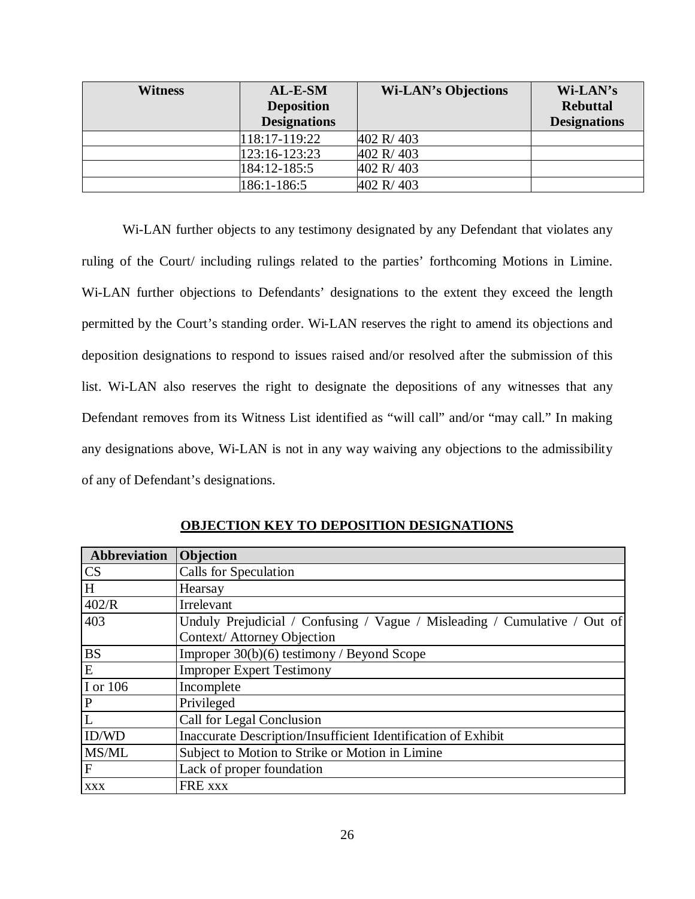| <b>Witness</b> | AL-E-SM             | <b>Wi-LAN's Objections</b> | Wi-LAN's            |
|----------------|---------------------|----------------------------|---------------------|
|                | <b>Deposition</b>   |                            | <b>Rebuttal</b>     |
|                | <b>Designations</b> |                            | <b>Designations</b> |
|                | 118:17-119:22       | 402 R/403                  |                     |
|                | 123:16-123:23       | 402 R/403                  |                     |
|                | 184:12-185:5        | 402 R/403                  |                     |
|                | 186:1-186:5         | 402 R/403                  |                     |

Wi-LAN further objects to any testimony designated by any Defendant that violates any ruling of the Court/ including rulings related to the parties' forthcoming Motions in Limine. Wi-LAN further objections to Defendants' designations to the extent they exceed the length permitted by the Court's standing order. Wi-LAN reserves the right to amend its objections and deposition designations to respond to issues raised and/or resolved after the submission of this list. Wi-LAN also reserves the right to designate the depositions of any witnesses that any Defendant removes from its Witness List identified as "will call" and/or "may call." In making any designations above, Wi-LAN is not in any way waiving any objections to the admissibility of any of Defendant's designations.

| <b>Abbreviation</b> Objection |                                                                           |
|-------------------------------|---------------------------------------------------------------------------|
| <b>CS</b>                     | Calls for Speculation                                                     |
| H                             | Hearsay                                                                   |
| 402/R                         | Irrelevant                                                                |
| 403                           | Unduly Prejudicial / Confusing / Vague / Misleading / Cumulative / Out of |
|                               | Context/ Attorney Objection                                               |
| <b>BS</b>                     | Improper $30(b)(6)$ testimony / Beyond Scope                              |
| E                             | <b>Improper Expert Testimony</b>                                          |
| I or 106                      | Incomplete                                                                |
| $\mathbf P$                   | Privileged                                                                |
| L                             | Call for Legal Conclusion                                                 |
| ID/WD                         | Inaccurate Description/Insufficient Identification of Exhibit             |
| MS/ML                         | Subject to Motion to Strike or Motion in Limine                           |
| F                             | Lack of proper foundation                                                 |
| <b>XXX</b>                    | FRE xxx                                                                   |

**OBJECTION KEY TO DEPOSITION DESIGNATIONS**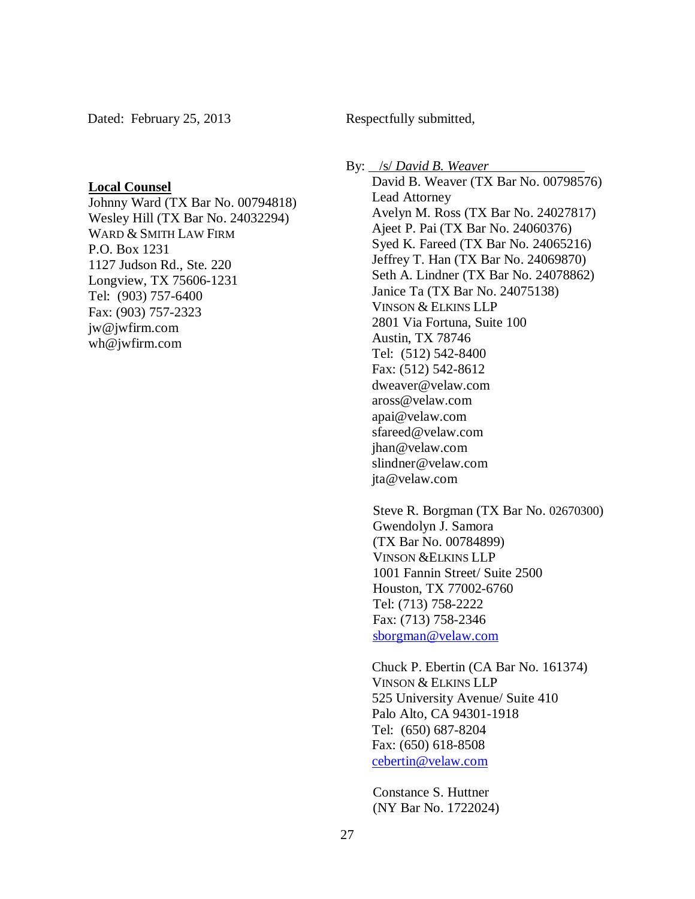Dated: February 25, 2013

Respectfully submitted,

### **Local Counsel**

Johnny Ward (TX Bar No. 00794818) Wesley Hill (TX Bar No. 24032294) WARD & SMITH LAW FIRM P.O. Box 1231 1127 Judson Rd., Ste. 220 Longview, TX 75606-1231 Tel: (903) 757-6400 Fax: (903) 757-2323 jw@jwfirm.com wh@jwfirm.com

By: /s/ *David B. Weaver*  David B. Weaver (TX Bar No. 00798576) Lead Attorney Avelyn M. Ross (TX Bar No. 24027817) Ajeet P. Pai (TX Bar No. 24060376) Syed K. Fareed (TX Bar No. 24065216) Jeffrey T. Han (TX Bar No. 24069870) Seth A. Lindner (TX Bar No. 24078862) Janice Ta (TX Bar No. 24075138) VINSON & ELKINS LLP 2801 Via Fortuna, Suite 100 Austin, TX 78746 Tel: (512) 542-8400 Fax: (512) 542-8612 dweaver@velaw.com aross@velaw.com apai@velaw.com sfareed@velaw.com jhan@velaw.com slindner@velaw.com jta@velaw.com

Steve R. Borgman (TX Bar No. 02670300) Gwendolyn J. Samora (TX Bar No. 00784899) VINSON &ELKINS LLP 1001 Fannin Street/ Suite 2500 Houston, TX 77002-6760 Tel: (713) 758-2222 Fax: (713) 758-2346 sborgman@velaw.com

Chuck P. Ebertin (CA Bar No. 161374) VINSON & ELKINS LLP 525 University Avenue/ Suite 410 Palo Alto, CA 94301-1918 Tel: (650) 687-8204 Fax: (650) 618-8508 cebertin@velaw.com

Constance S. Huttner (NY Bar No. 1722024)